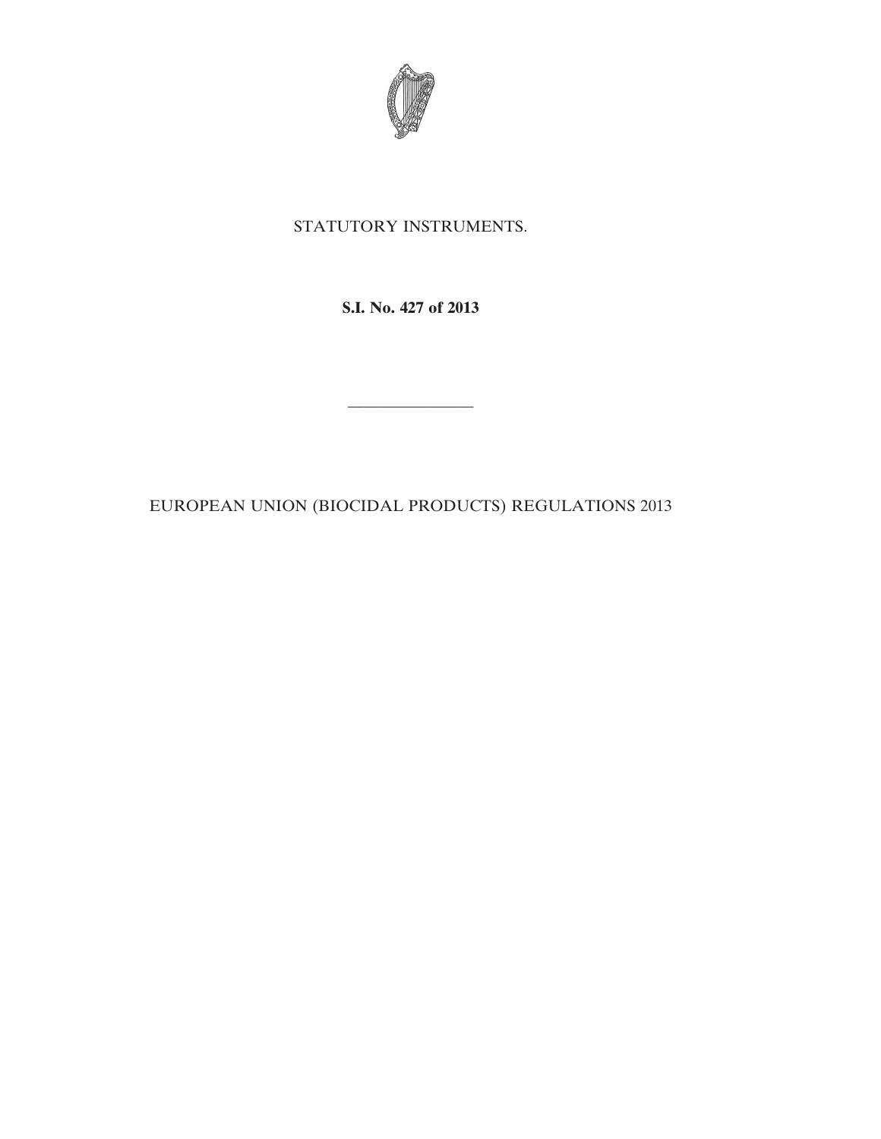

# STATUTORY INSTRUMENTS.

**S.I. No. 427 of 2013**

————————

EUROPEAN UNION (BIOCIDAL PRODUCTS) REGULATIONS 2013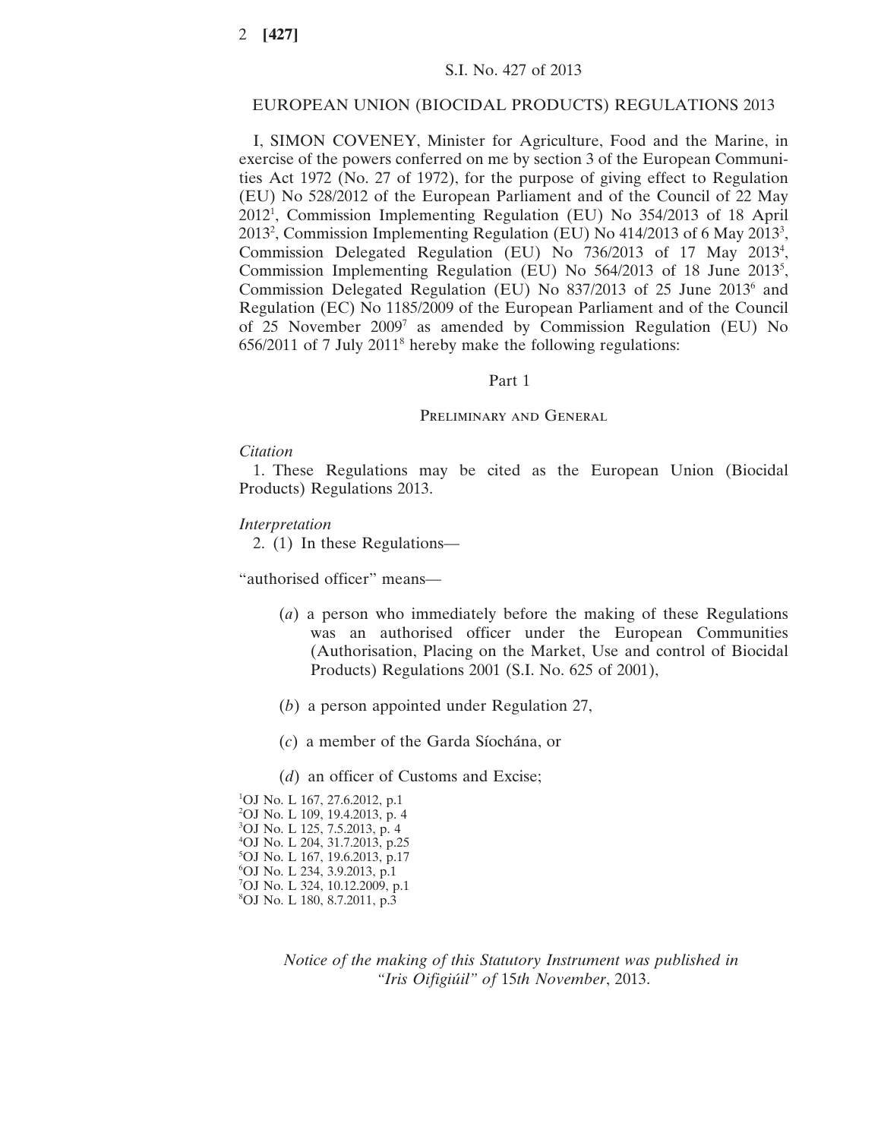# S.I. No. 427 of 2013

### EUROPEAN UNION (BIOCIDAL PRODUCTS) REGULATIONS 2013

I, SIMON COVENEY, Minister for Agriculture, Food and the Marine, in exercise of the powers conferred on me by section 3 of the European Communities Act 1972 (No. 27 of 1972), for the purpose of giving effect to Regulation (EU) No 528/2012 of the European Parliament and of the Council of 22 May 20121 , Commission Implementing Regulation (EU) No 354/2013 of 18 April 2013<sup>2</sup>, Commission Implementing Regulation (EU) No 414/2013 of 6 May 2013<sup>3</sup>, Commission Delegated Regulation (EU) No 736/2013 of 17 May 2013<sup>4</sup>, Commission Implementing Regulation (EU) No 564/2013 of 18 June 2013<sup>5</sup>, Commission Delegated Regulation (EU) No 837/2013 of 25 June 20136 and Regulation (EC) No 1185/2009 of the European Parliament and of the Council of 25 November 2009<sup>7</sup> as amended by Commission Regulation (EU) No 656/2011 of 7 July 20118 hereby make the following regulations:

#### Part 1

#### PRELIMINARY AND GENERAL

#### *Citation*

1. These Regulations may be cited as the European Union (Biocidal Products) Regulations 2013.

### *Interpretation*

2. (1) In these Regulations—

"authorised officer" means—

- (*a*) a person who immediately before the making of these Regulations was an authorised officer under the European Communities (Authorisation, Placing on the Market, Use and control of Biocidal Products) Regulations 2001 (S.I. No. 625 of 2001),
- (*b*) a person appointed under Regulation 27,
- (*c*) a member of the Garda Síochána, or
- (*d*) an officer of Customs and Excise;

 OJ No. L 167, 27.6.2012, p.1 OJ No. L 109, 19.4.2013, p. 4 OJ No. L 125, 7.5.2013, p. 4 OJ No. L 204, 31.7.2013, p.25 OJ No. L 167, 19.6.2013, p.17 OJ No. L 234, 3.9.2013, p.1 OJ No. L 324, 10.12.2009, p.1 OJ No. L 180, 8.7.2011, p.3

> *Notice of the making of this Statutory Instrument was published in "Iris Oifigiúil" of* 15*th November*, 2013.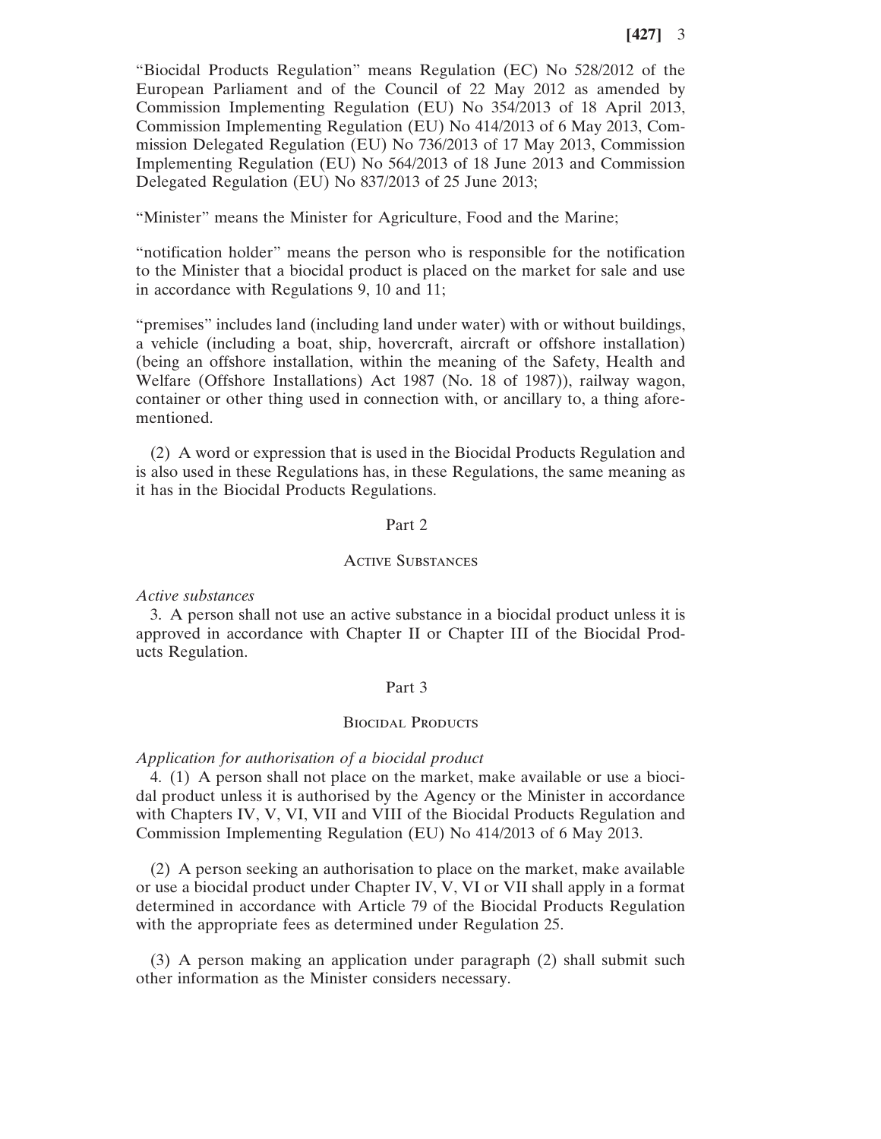"Biocidal Products Regulation" means Regulation (EC) No 528/2012 of the European Parliament and of the Council of 22 May 2012 as amended by Commission Implementing Regulation (EU) No 354/2013 of 18 April 2013, Commission Implementing Regulation (EU) No 414/2013 of 6 May 2013, Commission Delegated Regulation (EU) No 736/2013 of 17 May 2013, Commission Implementing Regulation (EU) No 564/2013 of 18 June 2013 and Commission Delegated Regulation (EU) No 837/2013 of 25 June 2013;

"Minister" means the Minister for Agriculture, Food and the Marine;

"notification holder" means the person who is responsible for the notification to the Minister that a biocidal product is placed on the market for sale and use in accordance with Regulations 9, 10 and 11;

"premises" includes land (including land under water) with or without buildings, a vehicle (including a boat, ship, hovercraft, aircraft or offshore installation) (being an offshore installation, within the meaning of the Safety, Health and Welfare (Offshore Installations) Act 1987 (No. 18 of 1987)), railway wagon, container or other thing used in connection with, or ancillary to, a thing aforementioned.

(2) A word or expression that is used in the Biocidal Products Regulation and is also used in these Regulations has, in these Regulations, the same meaning as it has in the Biocidal Products Regulations.

### Part 2

### Active Substances

*Active substances*

3. A person shall not use an active substance in a biocidal product unless it is approved in accordance with Chapter II or Chapter III of the Biocidal Products Regulation.

#### Part 3

#### **BIOCIDAL PRODUCTS**

#### *Application for authorisation of a biocidal product*

4. (1) A person shall not place on the market, make available or use a biocidal product unless it is authorised by the Agency or the Minister in accordance with Chapters IV, V, VI, VII and VIII of the Biocidal Products Regulation and Commission Implementing Regulation (EU) No 414/2013 of 6 May 2013.

(2) A person seeking an authorisation to place on the market, make available or use a biocidal product under Chapter IV, V, VI or VII shall apply in a format determined in accordance with Article 79 of the Biocidal Products Regulation with the appropriate fees as determined under Regulation 25.

(3) A person making an application under paragraph (2) shall submit such other information as the Minister considers necessary.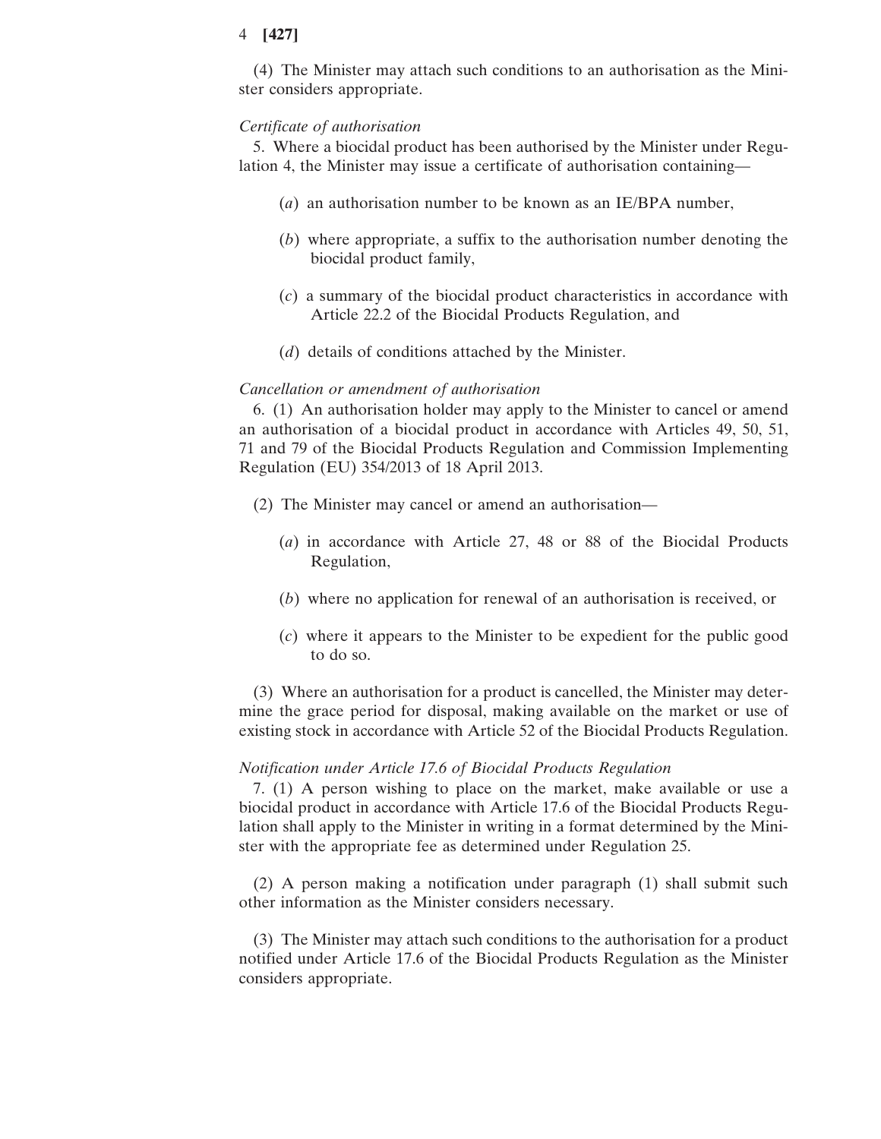(4) The Minister may attach such conditions to an authorisation as the Minister considers appropriate.

### *Certificate of authorisation*

5. Where a biocidal product has been authorised by the Minister under Regulation 4, the Minister may issue a certificate of authorisation containing—

- (*a*) an authorisation number to be known as an IE/BPA number,
- (*b*) where appropriate, a suffix to the authorisation number denoting the biocidal product family,
- (*c*) a summary of the biocidal product characteristics in accordance with Article 22.2 of the Biocidal Products Regulation, and
- (*d*) details of conditions attached by the Minister.

# *Cancellation or amendment of authorisation*

6. (1) An authorisation holder may apply to the Minister to cancel or amend an authorisation of a biocidal product in accordance with Articles 49, 50, 51, 71 and 79 of the Biocidal Products Regulation and Commission Implementing Regulation (EU) 354/2013 of 18 April 2013.

- (2) The Minister may cancel or amend an authorisation—
	- (*a*) in accordance with Article 27, 48 or 88 of the Biocidal Products Regulation,
	- (*b*) where no application for renewal of an authorisation is received, or
	- (*c*) where it appears to the Minister to be expedient for the public good to do so.

(3) Where an authorisation for a product is cancelled, the Minister may determine the grace period for disposal, making available on the market or use of existing stock in accordance with Article 52 of the Biocidal Products Regulation.

#### *Notification under Article 17.6 of Biocidal Products Regulation*

7. (1) A person wishing to place on the market, make available or use a biocidal product in accordance with Article 17.6 of the Biocidal Products Regulation shall apply to the Minister in writing in a format determined by the Minister with the appropriate fee as determined under Regulation 25.

(2) A person making a notification under paragraph (1) shall submit such other information as the Minister considers necessary.

(3) The Minister may attach such conditions to the authorisation for a product notified under Article 17.6 of the Biocidal Products Regulation as the Minister considers appropriate.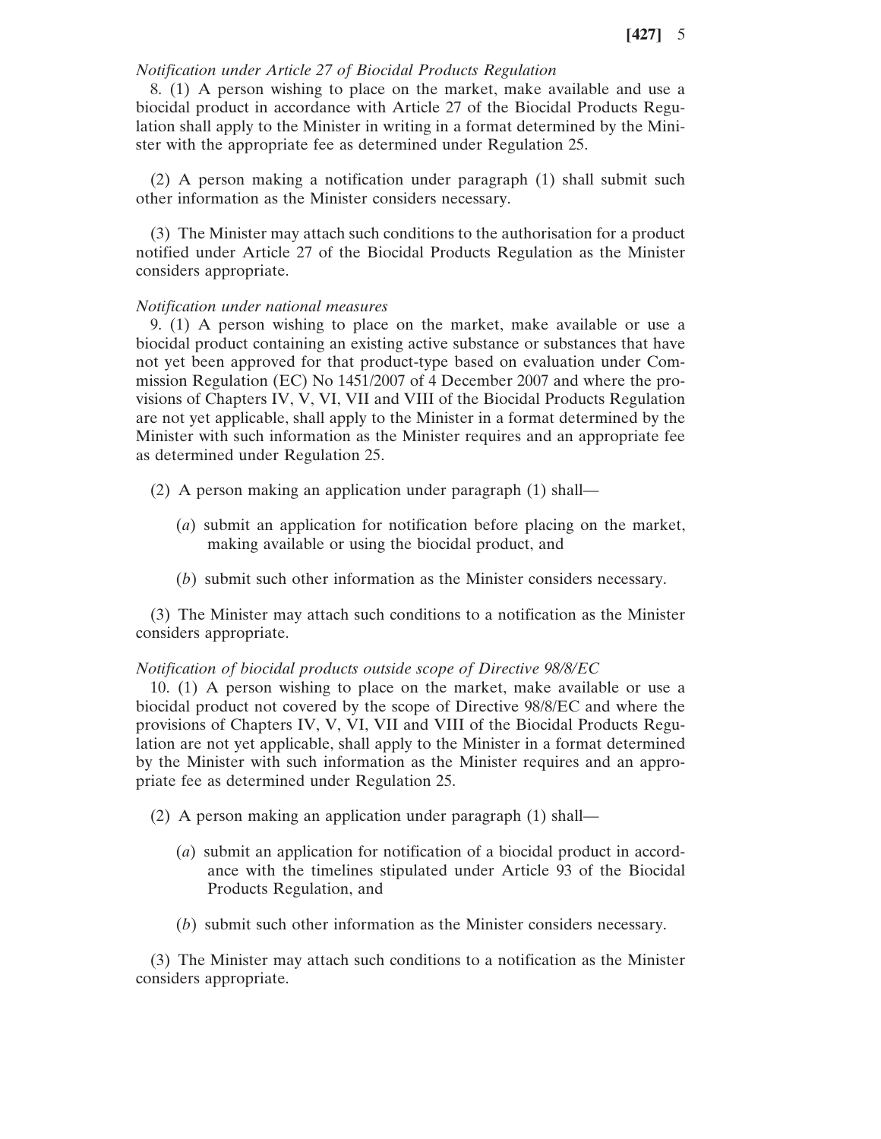### *Notification under Article 27 of Biocidal Products Regulation*

8. (1) A person wishing to place on the market, make available and use a biocidal product in accordance with Article 27 of the Biocidal Products Regulation shall apply to the Minister in writing in a format determined by the Minister with the appropriate fee as determined under Regulation 25.

(2) A person making a notification under paragraph (1) shall submit such other information as the Minister considers necessary.

(3) The Minister may attach such conditions to the authorisation for a product notified under Article 27 of the Biocidal Products Regulation as the Minister considers appropriate.

### *Notification under national measures*

9. (1) A person wishing to place on the market, make available or use a biocidal product containing an existing active substance or substances that have not yet been approved for that product-type based on evaluation under Commission Regulation (EC) No 1451/2007 of 4 December 2007 and where the provisions of Chapters IV, V, VI, VII and VIII of the Biocidal Products Regulation are not yet applicable, shall apply to the Minister in a format determined by the Minister with such information as the Minister requires and an appropriate fee as determined under Regulation 25.

- (2) A person making an application under paragraph (1) shall—
	- (*a*) submit an application for notification before placing on the market, making available or using the biocidal product, and
	- (*b*) submit such other information as the Minister considers necessary.

(3) The Minister may attach such conditions to a notification as the Minister considers appropriate.

*Notification of biocidal products outside scope of Directive 98/8/EC*

10. (1) A person wishing to place on the market, make available or use a biocidal product not covered by the scope of Directive 98/8/EC and where the provisions of Chapters IV, V, VI, VII and VIII of the Biocidal Products Regulation are not yet applicable, shall apply to the Minister in a format determined by the Minister with such information as the Minister requires and an appropriate fee as determined under Regulation 25.

- (2) A person making an application under paragraph (1) shall—
	- (*a*) submit an application for notification of a biocidal product in accordance with the timelines stipulated under Article 93 of the Biocidal Products Regulation, and
	- (*b*) submit such other information as the Minister considers necessary.

(3) The Minister may attach such conditions to a notification as the Minister considers appropriate.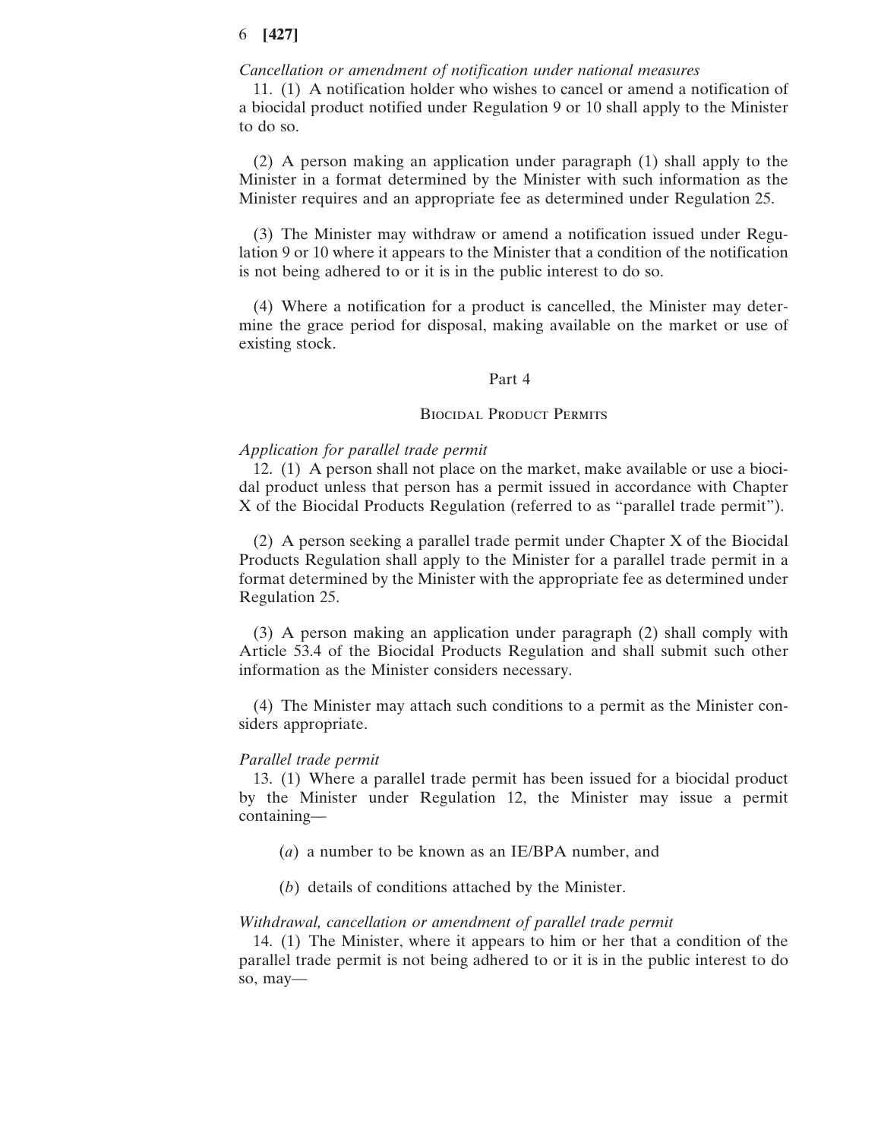### *Cancellation or amendment of notification under national measures*

11. (1) A notification holder who wishes to cancel or amend a notification of a biocidal product notified under Regulation 9 or 10 shall apply to the Minister to do so.

(2) A person making an application under paragraph (1) shall apply to the Minister in a format determined by the Minister with such information as the Minister requires and an appropriate fee as determined under Regulation 25.

(3) The Minister may withdraw or amend a notification issued under Regulation 9 or 10 where it appears to the Minister that a condition of the notification is not being adhered to or it is in the public interest to do so.

(4) Where a notification for a product is cancelled, the Minister may determine the grace period for disposal, making available on the market or use of existing stock.

#### Part 4

### Biocidal Product Permits

### *Application for parallel trade permit*

12. (1) A person shall not place on the market, make available or use a biocidal product unless that person has a permit issued in accordance with Chapter X of the Biocidal Products Regulation (referred to as "parallel trade permit").

(2) A person seeking a parallel trade permit under Chapter X of the Biocidal Products Regulation shall apply to the Minister for a parallel trade permit in a format determined by the Minister with the appropriate fee as determined under Regulation 25.

(3) A person making an application under paragraph (2) shall comply with Article 53.4 of the Biocidal Products Regulation and shall submit such other information as the Minister considers necessary.

(4) The Minister may attach such conditions to a permit as the Minister considers appropriate.

### *Parallel trade permit*

13. (1) Where a parallel trade permit has been issued for a biocidal product by the Minister under Regulation 12, the Minister may issue a permit containing—

- (*a*) a number to be known as an IE/BPA number, and
- (*b*) details of conditions attached by the Minister.

#### *Withdrawal, cancellation or amendment of parallel trade permit*

14. (1) The Minister, where it appears to him or her that a condition of the parallel trade permit is not being adhered to or it is in the public interest to do so, may—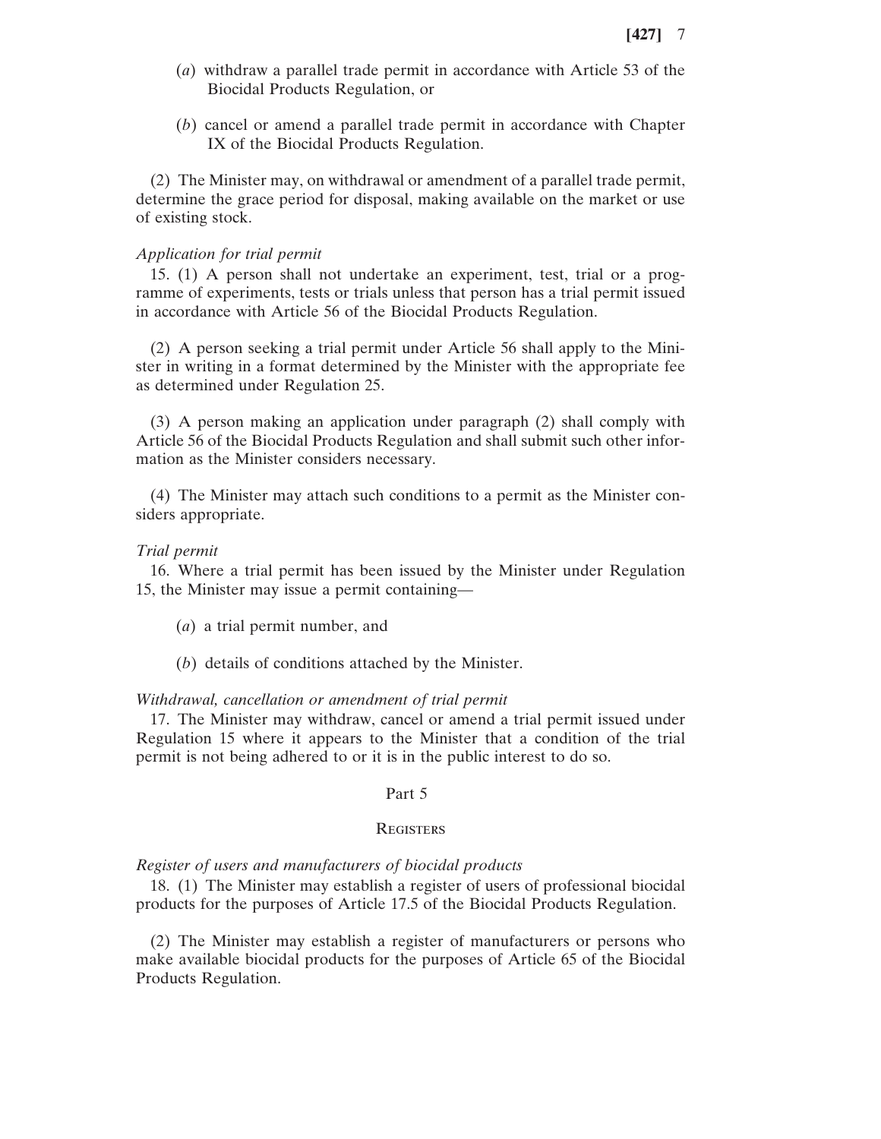- (*a*) withdraw a parallel trade permit in accordance with Article 53 of the Biocidal Products Regulation, or
- (*b*) cancel or amend a parallel trade permit in accordance with Chapter IX of the Biocidal Products Regulation.

(2) The Minister may, on withdrawal or amendment of a parallel trade permit, determine the grace period for disposal, making available on the market or use of existing stock.

### *Application for trial permit*

15. (1) A person shall not undertake an experiment, test, trial or a programme of experiments, tests or trials unless that person has a trial permit issued in accordance with Article 56 of the Biocidal Products Regulation.

(2) A person seeking a trial permit under Article 56 shall apply to the Minister in writing in a format determined by the Minister with the appropriate fee as determined under Regulation 25.

(3) A person making an application under paragraph (2) shall comply with Article 56 of the Biocidal Products Regulation and shall submit such other information as the Minister considers necessary.

(4) The Minister may attach such conditions to a permit as the Minister considers appropriate.

#### *Trial permit*

16. Where a trial permit has been issued by the Minister under Regulation 15, the Minister may issue a permit containing—

- (*a*) a trial permit number, and
- (*b*) details of conditions attached by the Minister.

#### *Withdrawal, cancellation or amendment of trial permit*

17. The Minister may withdraw, cancel or amend a trial permit issued under Regulation 15 where it appears to the Minister that a condition of the trial permit is not being adhered to or it is in the public interest to do so.

#### Part 5

#### **REGISTERS**

#### *Register of users and manufacturers of biocidal products*

18. (1) The Minister may establish a register of users of professional biocidal products for the purposes of Article 17.5 of the Biocidal Products Regulation.

(2) The Minister may establish a register of manufacturers or persons who make available biocidal products for the purposes of Article 65 of the Biocidal Products Regulation.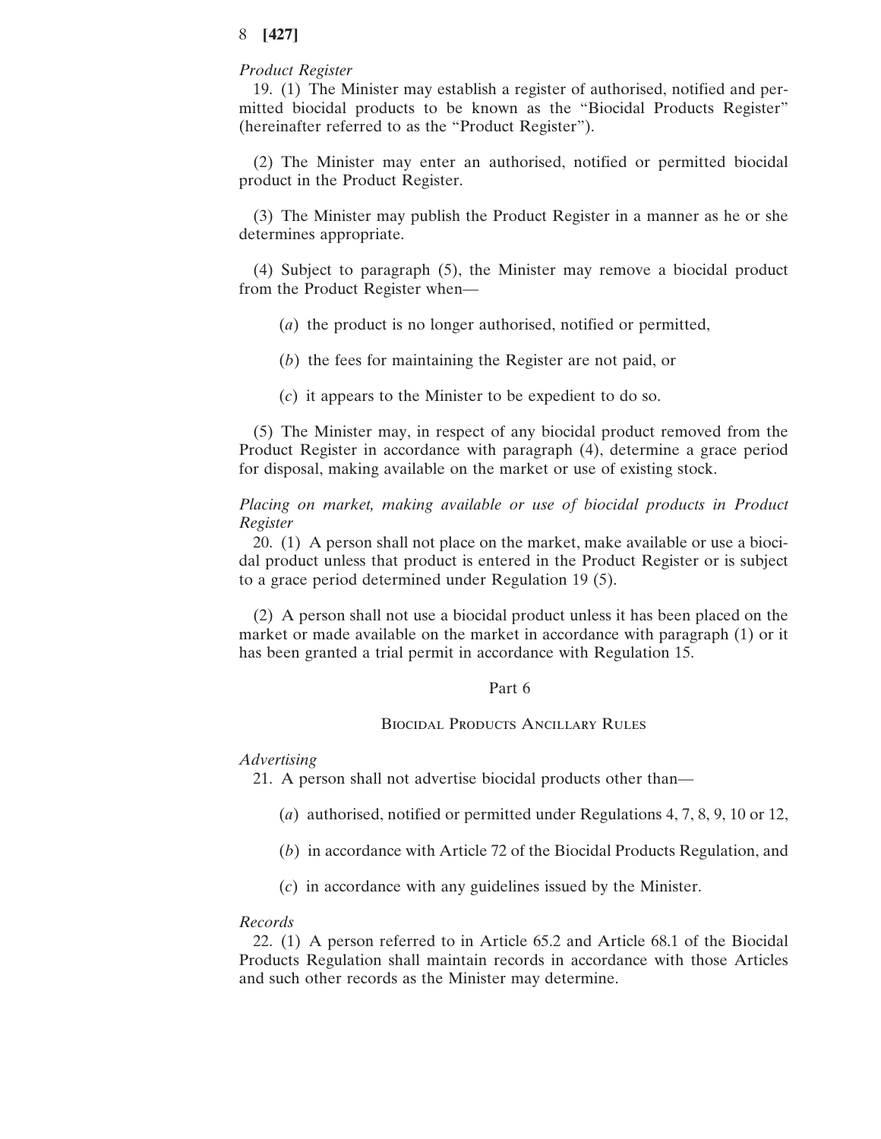### *Product Register*

19. (1) The Minister may establish a register of authorised, notified and permitted biocidal products to be known as the "Biocidal Products Register" (hereinafter referred to as the "Product Register").

(2) The Minister may enter an authorised, notified or permitted biocidal product in the Product Register.

(3) The Minister may publish the Product Register in a manner as he or she determines appropriate.

(4) Subject to paragraph (5), the Minister may remove a biocidal product from the Product Register when—

- (*a*) the product is no longer authorised, notified or permitted,
- (*b*) the fees for maintaining the Register are not paid, or
- (*c*) it appears to the Minister to be expedient to do so.

(5) The Minister may, in respect of any biocidal product removed from the Product Register in accordance with paragraph (4), determine a grace period for disposal, making available on the market or use of existing stock.

*Placing on market, making available or use of biocidal products in Product Register*

20. (1) A person shall not place on the market, make available or use a biocidal product unless that product is entered in the Product Register or is subject to a grace period determined under Regulation 19 (5).

(2) A person shall not use a biocidal product unless it has been placed on the market or made available on the market in accordance with paragraph (1) or it has been granted a trial permit in accordance with Regulation 15.

### Part 6

### Biocidal Products Ancillary Rules

### *Advertising*

21. A person shall not advertise biocidal products other than—

- (*a*) authorised, notified or permitted under Regulations 4, 7, 8, 9, 10 or 12,
- (*b*) in accordance with Article 72 of the Biocidal Products Regulation, and
- (*c*) in accordance with any guidelines issued by the Minister.

#### *Records*

22. (1) A person referred to in Article 65.2 and Article 68.1 of the Biocidal Products Regulation shall maintain records in accordance with those Articles and such other records as the Minister may determine.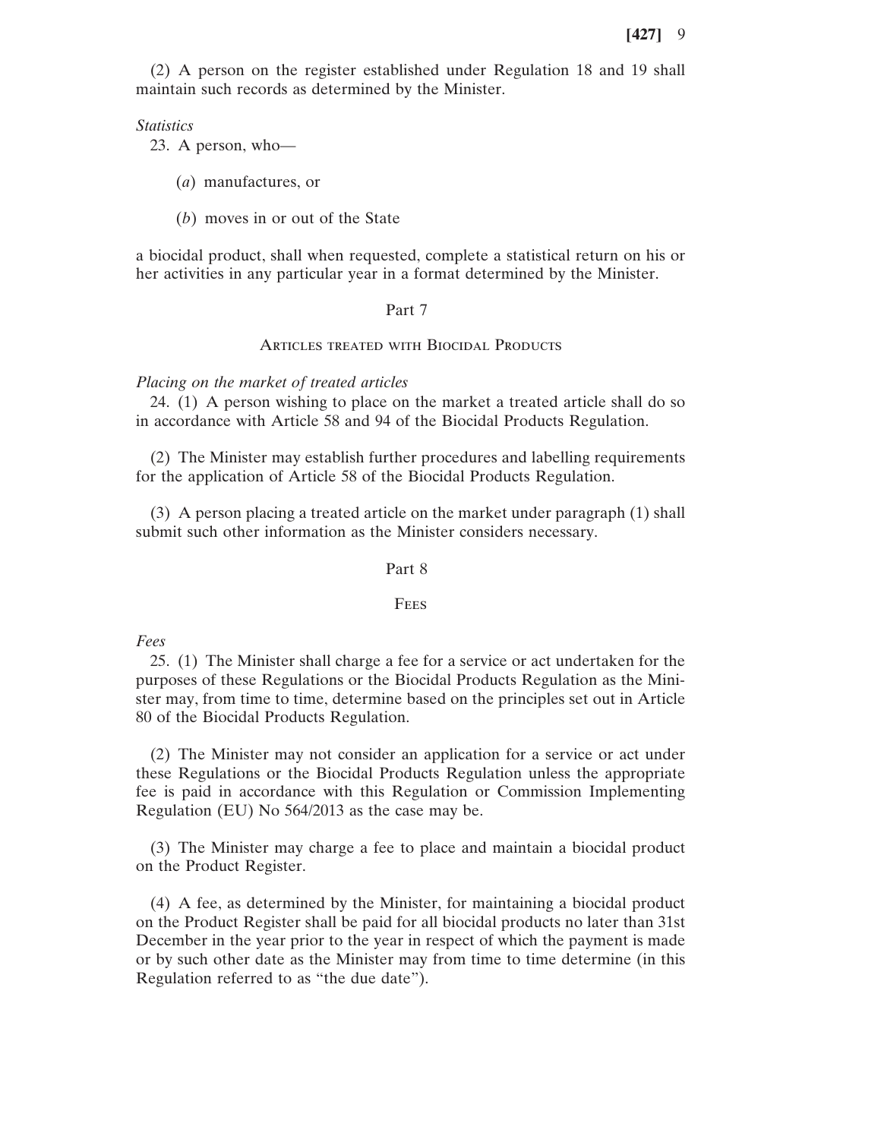(2) A person on the register established under Regulation 18 and 19 shall maintain such records as determined by the Minister.

*Statistics*

23. A person, who—

(*a*) manufactures, or

(*b*) moves in or out of the State

a biocidal product, shall when requested, complete a statistical return on his or her activities in any particular year in a format determined by the Minister.

#### Part 7

#### ARTICLES TREATED WITH BIOCIDAL PRODUCTS

#### *Placing on the market of treated articles*

24. (1) A person wishing to place on the market a treated article shall do so in accordance with Article 58 and 94 of the Biocidal Products Regulation.

(2) The Minister may establish further procedures and labelling requirements for the application of Article 58 of the Biocidal Products Regulation.

(3) A person placing a treated article on the market under paragraph (1) shall submit such other information as the Minister considers necessary.

#### Part 8

### **FEES**

*Fees*

25. (1) The Minister shall charge a fee for a service or act undertaken for the purposes of these Regulations or the Biocidal Products Regulation as the Minister may, from time to time, determine based on the principles set out in Article 80 of the Biocidal Products Regulation.

(2) The Minister may not consider an application for a service or act under these Regulations or the Biocidal Products Regulation unless the appropriate fee is paid in accordance with this Regulation or Commission Implementing Regulation (EU) No 564/2013 as the case may be.

(3) The Minister may charge a fee to place and maintain a biocidal product on the Product Register.

(4) A fee, as determined by the Minister, for maintaining a biocidal product on the Product Register shall be paid for all biocidal products no later than 31st December in the year prior to the year in respect of which the payment is made or by such other date as the Minister may from time to time determine (in this Regulation referred to as "the due date").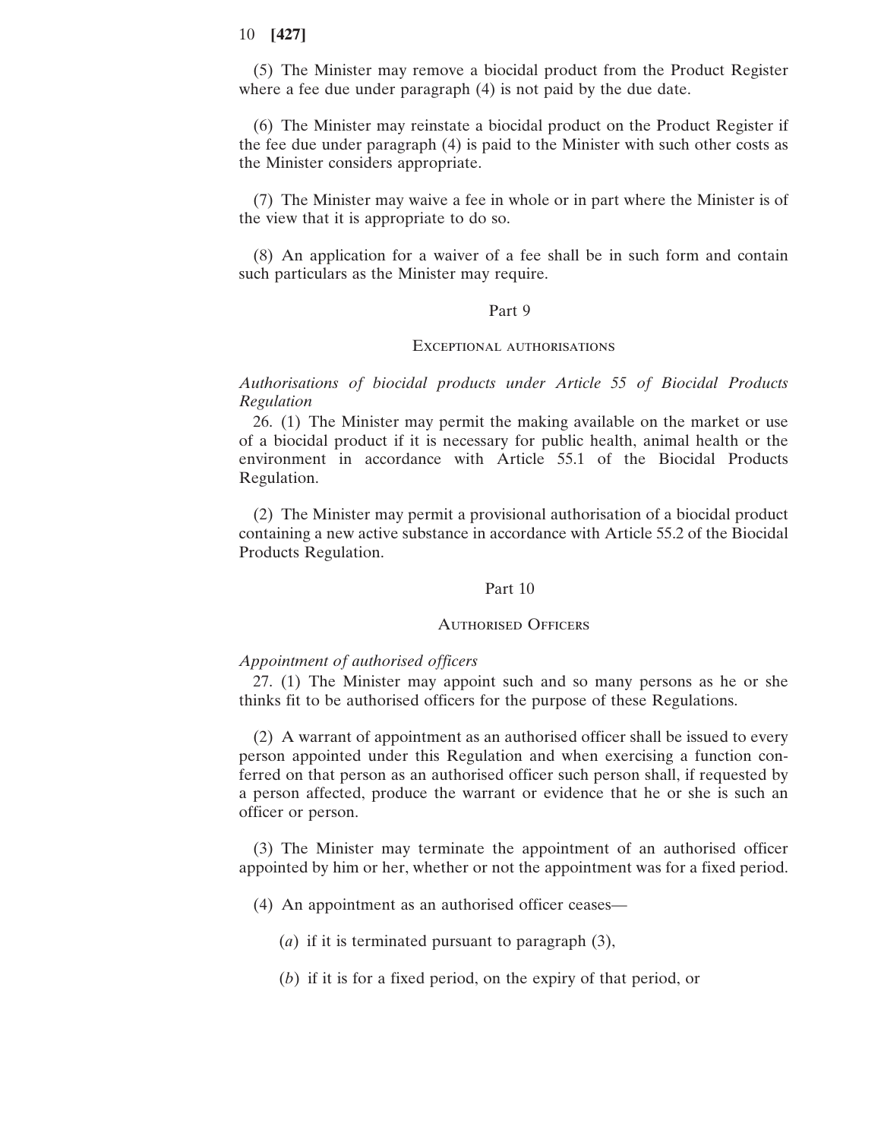(5) The Minister may remove a biocidal product from the Product Register where a fee due under paragraph (4) is not paid by the due date.

(6) The Minister may reinstate a biocidal product on the Product Register if the fee due under paragraph (4) is paid to the Minister with such other costs as the Minister considers appropriate.

(7) The Minister may waive a fee in whole or in part where the Minister is of the view that it is appropriate to do so.

(8) An application for a waiver of a fee shall be in such form and contain such particulars as the Minister may require.

### Part 9

### Exceptional authorisations

*Authorisations of biocidal products under Article 55 of Biocidal Products Regulation*

26. (1) The Minister may permit the making available on the market or use of a biocidal product if it is necessary for public health, animal health or the environment in accordance with Article 55.1 of the Biocidal Products Regulation.

(2) The Minister may permit a provisional authorisation of a biocidal product containing a new active substance in accordance with Article 55.2 of the Biocidal Products Regulation.

### Part 10

# Authorised Officers

### *Appointment of authorised officers*

27. (1) The Minister may appoint such and so many persons as he or she thinks fit to be authorised officers for the purpose of these Regulations.

(2) A warrant of appointment as an authorised officer shall be issued to every person appointed under this Regulation and when exercising a function conferred on that person as an authorised officer such person shall, if requested by a person affected, produce the warrant or evidence that he or she is such an officer or person.

(3) The Minister may terminate the appointment of an authorised officer appointed by him or her, whether or not the appointment was for a fixed period.

(4) An appointment as an authorised officer ceases—

(*a*) if it is terminated pursuant to paragraph (3),

(*b*) if it is for a fixed period, on the expiry of that period, or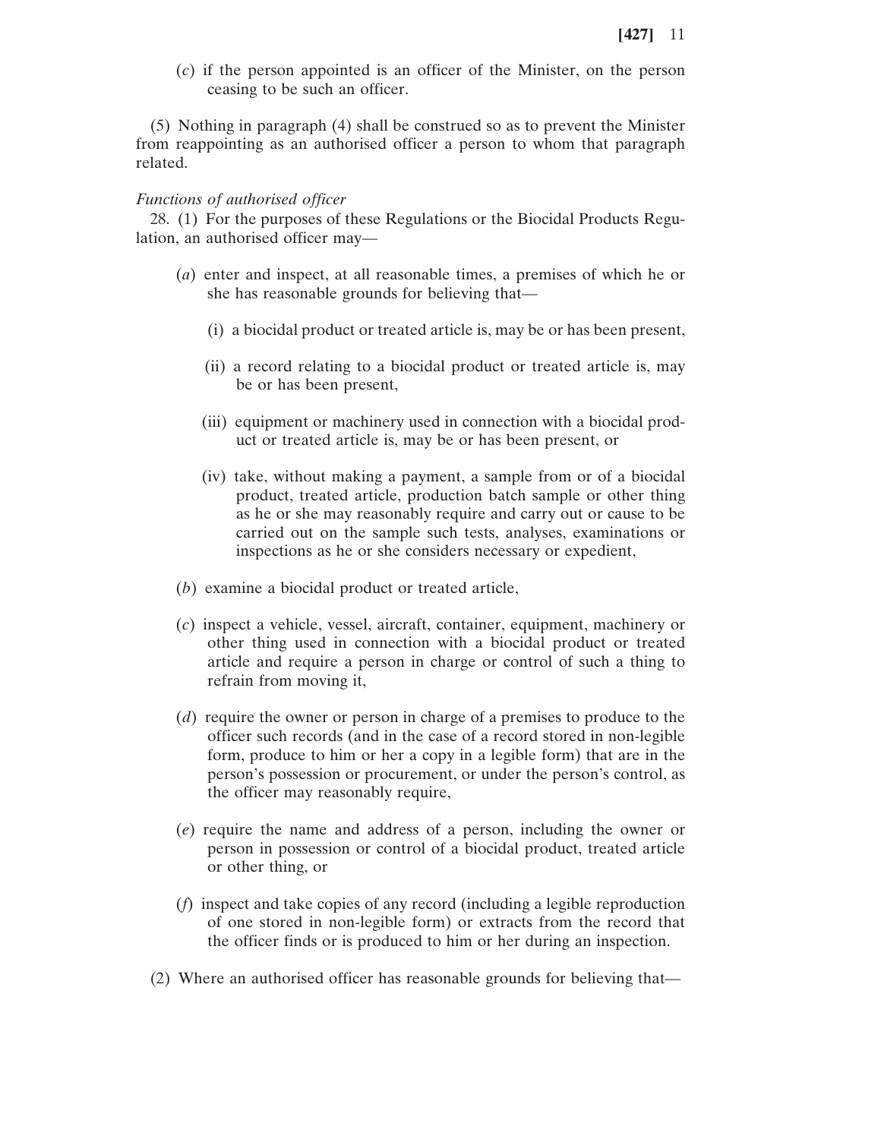(*c*) if the person appointed is an officer of the Minister, on the person ceasing to be such an officer.

(5) Nothing in paragraph (4) shall be construed so as to prevent the Minister from reappointing as an authorised officer a person to whom that paragraph related.

#### *Functions of authorised officer*

28. (1) For the purposes of these Regulations or the Biocidal Products Regulation, an authorised officer may—

- (*a*) enter and inspect, at all reasonable times, a premises of which he or she has reasonable grounds for believing that—
	- (i) a biocidal product or treated article is, may be or has been present,
	- (ii) a record relating to a biocidal product or treated article is, may be or has been present,
	- (iii) equipment or machinery used in connection with a biocidal product or treated article is, may be or has been present, or
	- (iv) take, without making a payment, a sample from or of a biocidal product, treated article, production batch sample or other thing as he or she may reasonably require and carry out or cause to be carried out on the sample such tests, analyses, examinations or inspections as he or she considers necessary or expedient,
- (*b*) examine a biocidal product or treated article,
- (*c*) inspect a vehicle, vessel, aircraft, container, equipment, machinery or other thing used in connection with a biocidal product or treated article and require a person in charge or control of such a thing to refrain from moving it,
- (*d*) require the owner or person in charge of a premises to produce to the officer such records (and in the case of a record stored in non-legible form, produce to him or her a copy in a legible form) that are in the person's possession or procurement, or under the person's control, as the officer may reasonably require,
- (*e*) require the name and address of a person, including the owner or person in possession or control of a biocidal product, treated article or other thing, or
- (*f*) inspect and take copies of any record (including a legible reproduction of one stored in non-legible form) or extracts from the record that the officer finds or is produced to him or her during an inspection.
- (2) Where an authorised officer has reasonable grounds for believing that—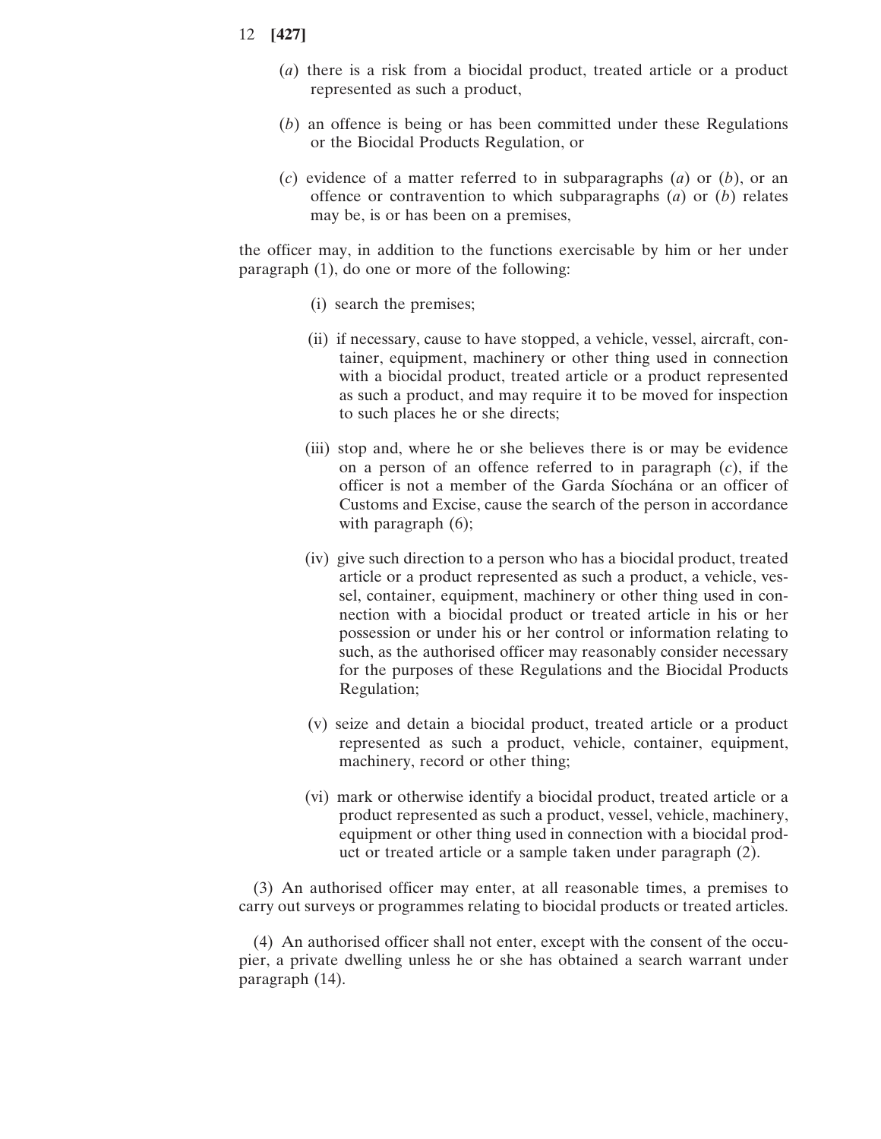- 12 **[427]**
	- (*a*) there is a risk from a biocidal product, treated article or a product represented as such a product,
	- (*b*) an offence is being or has been committed under these Regulations or the Biocidal Products Regulation, or
	- (*c*) evidence of a matter referred to in subparagraphs (*a*) or (*b*), or an offence or contravention to which subparagraphs (*a*) or (*b*) relates may be, is or has been on a premises,

the officer may, in addition to the functions exercisable by him or her under paragraph (1), do one or more of the following:

- (i) search the premises;
- (ii) if necessary, cause to have stopped, a vehicle, vessel, aircraft, container, equipment, machinery or other thing used in connection with a biocidal product, treated article or a product represented as such a product, and may require it to be moved for inspection to such places he or she directs;
- (iii) stop and, where he or she believes there is or may be evidence on a person of an offence referred to in paragraph (*c*), if the officer is not a member of the Garda Síochána or an officer of Customs and Excise, cause the search of the person in accordance with paragraph  $(6)$ ;
- (iv) give such direction to a person who has a biocidal product, treated article or a product represented as such a product, a vehicle, vessel, container, equipment, machinery or other thing used in connection with a biocidal product or treated article in his or her possession or under his or her control or information relating to such, as the authorised officer may reasonably consider necessary for the purposes of these Regulations and the Biocidal Products Regulation;
- (v) seize and detain a biocidal product, treated article or a product represented as such a product, vehicle, container, equipment, machinery, record or other thing;
- (vi) mark or otherwise identify a biocidal product, treated article or a product represented as such a product, vessel, vehicle, machinery, equipment or other thing used in connection with a biocidal product or treated article or a sample taken under paragraph (2).

(3) An authorised officer may enter, at all reasonable times, a premises to carry out surveys or programmes relating to biocidal products or treated articles.

(4) An authorised officer shall not enter, except with the consent of the occupier, a private dwelling unless he or she has obtained a search warrant under paragraph (14).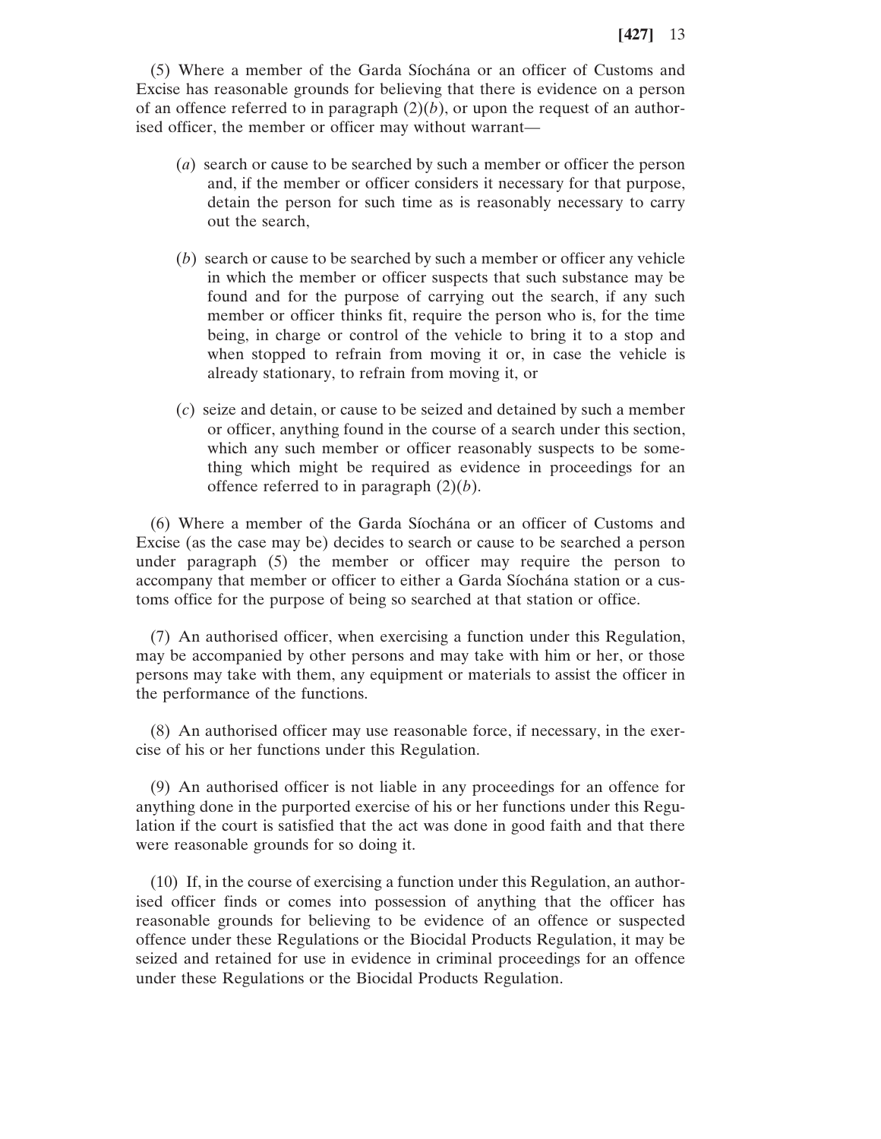(5) Where a member of the Garda Síochána or an officer of Customs and Excise has reasonable grounds for believing that there is evidence on a person of an offence referred to in paragraph  $(2)(b)$ , or upon the request of an authorised officer, the member or officer may without warrant—

- (*a*) search or cause to be searched by such a member or officer the person and, if the member or officer considers it necessary for that purpose, detain the person for such time as is reasonably necessary to carry out the search,
- (*b*) search or cause to be searched by such a member or officer any vehicle in which the member or officer suspects that such substance may be found and for the purpose of carrying out the search, if any such member or officer thinks fit, require the person who is, for the time being, in charge or control of the vehicle to bring it to a stop and when stopped to refrain from moving it or, in case the vehicle is already stationary, to refrain from moving it, or
- (*c*) seize and detain, or cause to be seized and detained by such a member or officer, anything found in the course of a search under this section, which any such member or officer reasonably suspects to be something which might be required as evidence in proceedings for an offence referred to in paragraph (2)(*b*).

(6) Where a member of the Garda Síochána or an officer of Customs and Excise (as the case may be) decides to search or cause to be searched a person under paragraph (5) the member or officer may require the person to accompany that member or officer to either a Garda Síochána station or a customs office for the purpose of being so searched at that station or office.

(7) An authorised officer, when exercising a function under this Regulation, may be accompanied by other persons and may take with him or her, or those persons may take with them, any equipment or materials to assist the officer in the performance of the functions.

(8) An authorised officer may use reasonable force, if necessary, in the exercise of his or her functions under this Regulation.

(9) An authorised officer is not liable in any proceedings for an offence for anything done in the purported exercise of his or her functions under this Regulation if the court is satisfied that the act was done in good faith and that there were reasonable grounds for so doing it.

(10) If, in the course of exercising a function under this Regulation, an authorised officer finds or comes into possession of anything that the officer has reasonable grounds for believing to be evidence of an offence or suspected offence under these Regulations or the Biocidal Products Regulation, it may be seized and retained for use in evidence in criminal proceedings for an offence under these Regulations or the Biocidal Products Regulation.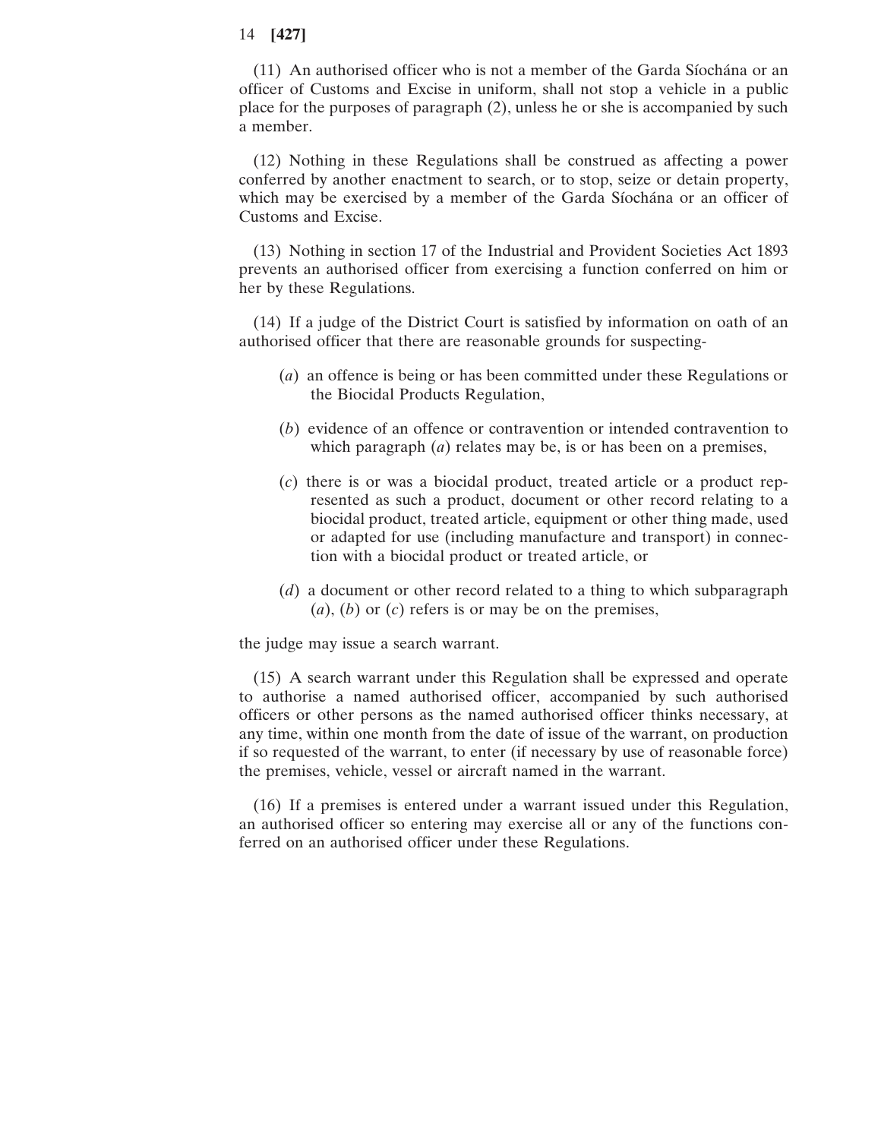(11) An authorised officer who is not a member of the Garda Síochána or an officer of Customs and Excise in uniform, shall not stop a vehicle in a public place for the purposes of paragraph (2), unless he or she is accompanied by such a member.

(12) Nothing in these Regulations shall be construed as affecting a power conferred by another enactment to search, or to stop, seize or detain property, which may be exercised by a member of the Garda Síochána or an officer of Customs and Excise.

(13) Nothing in section 17 of the Industrial and Provident Societies Act 1893 prevents an authorised officer from exercising a function conferred on him or her by these Regulations.

(14) If a judge of the District Court is satisfied by information on oath of an authorised officer that there are reasonable grounds for suspecting-

- (*a*) an offence is being or has been committed under these Regulations or the Biocidal Products Regulation,
- (*b*) evidence of an offence or contravention or intended contravention to which paragraph (*a*) relates may be, is or has been on a premises,
- (*c*) there is or was a biocidal product, treated article or a product represented as such a product, document or other record relating to a biocidal product, treated article, equipment or other thing made, used or adapted for use (including manufacture and transport) in connection with a biocidal product or treated article, or
- (*d*) a document or other record related to a thing to which subparagraph (*a*), (*b*) or (*c*) refers is or may be on the premises,

the judge may issue a search warrant.

(15) A search warrant under this Regulation shall be expressed and operate to authorise a named authorised officer, accompanied by such authorised officers or other persons as the named authorised officer thinks necessary, at any time, within one month from the date of issue of the warrant, on production if so requested of the warrant, to enter (if necessary by use of reasonable force) the premises, vehicle, vessel or aircraft named in the warrant.

(16) If a premises is entered under a warrant issued under this Regulation, an authorised officer so entering may exercise all or any of the functions conferred on an authorised officer under these Regulations.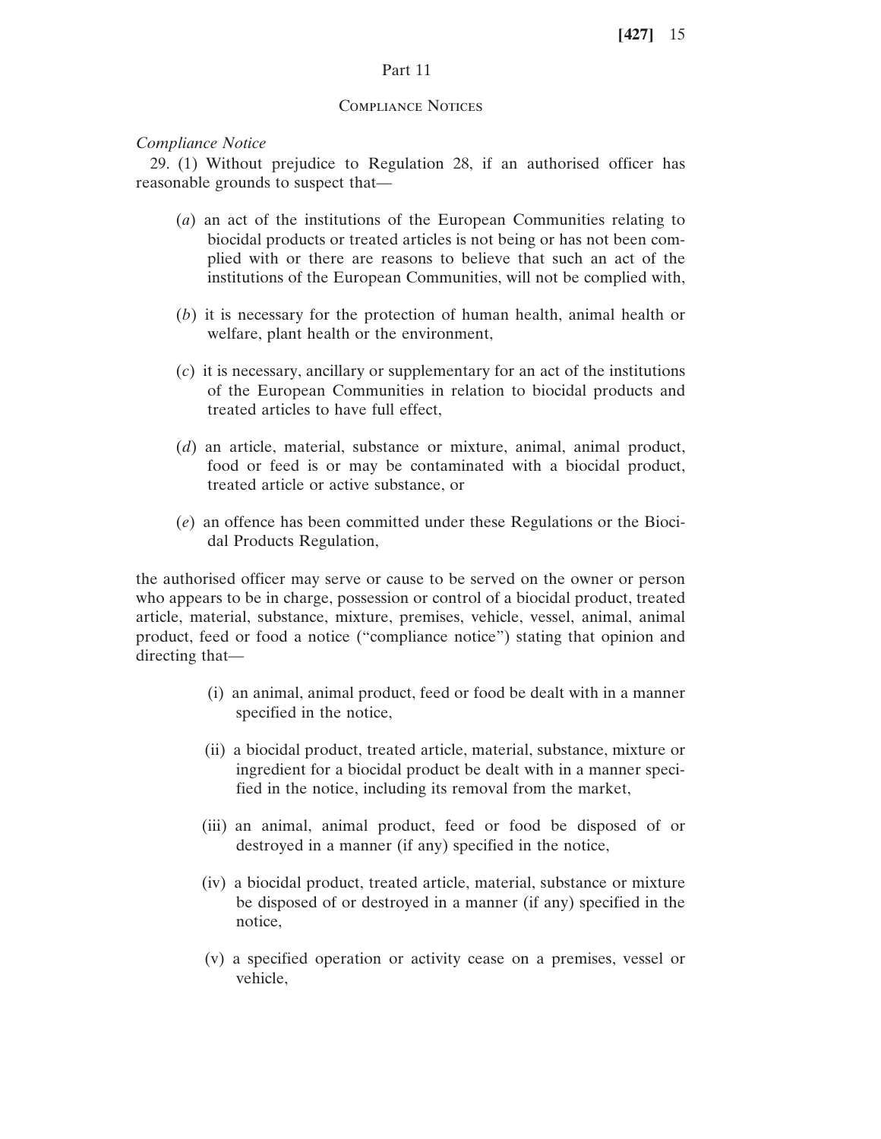# Part 11

### Compliance Notices

### *Compliance Notice*

29. (1) Without prejudice to Regulation 28, if an authorised officer has reasonable grounds to suspect that—

- (*a*) an act of the institutions of the European Communities relating to biocidal products or treated articles is not being or has not been complied with or there are reasons to believe that such an act of the institutions of the European Communities, will not be complied with,
- (*b*) it is necessary for the protection of human health, animal health or welfare, plant health or the environment,
- (*c*) it is necessary, ancillary or supplementary for an act of the institutions of the European Communities in relation to biocidal products and treated articles to have full effect,
- (*d*) an article, material, substance or mixture, animal, animal product, food or feed is or may be contaminated with a biocidal product, treated article or active substance, or
- (*e*) an offence has been committed under these Regulations or the Biocidal Products Regulation,

the authorised officer may serve or cause to be served on the owner or person who appears to be in charge, possession or control of a biocidal product, treated article, material, substance, mixture, premises, vehicle, vessel, animal, animal product, feed or food a notice ("compliance notice") stating that opinion and directing that—

- (i) an animal, animal product, feed or food be dealt with in a manner specified in the notice,
- (ii) a biocidal product, treated article, material, substance, mixture or ingredient for a biocidal product be dealt with in a manner specified in the notice, including its removal from the market,
- (iii) an animal, animal product, feed or food be disposed of or destroyed in a manner (if any) specified in the notice,
- (iv) a biocidal product, treated article, material, substance or mixture be disposed of or destroyed in a manner (if any) specified in the notice,
- (v) a specified operation or activity cease on a premises, vessel or vehicle,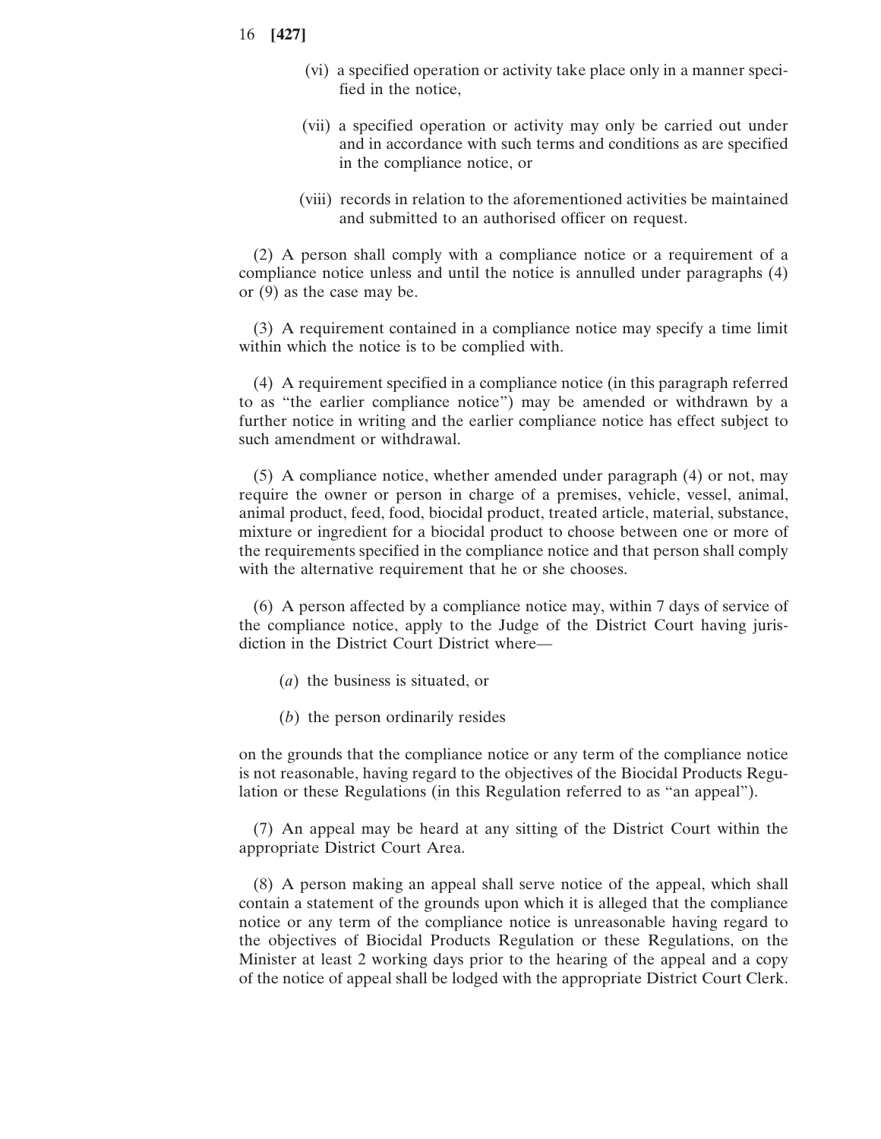- 16 **[427]**
	- (vi) a specified operation or activity take place only in a manner specified in the notice,
	- (vii) a specified operation or activity may only be carried out under and in accordance with such terms and conditions as are specified in the compliance notice, or
	- (viii) records in relation to the aforementioned activities be maintained and submitted to an authorised officer on request.

(2) A person shall comply with a compliance notice or a requirement of a compliance notice unless and until the notice is annulled under paragraphs (4) or (9) as the case may be.

(3) A requirement contained in a compliance notice may specify a time limit within which the notice is to be complied with.

(4) A requirement specified in a compliance notice (in this paragraph referred to as "the earlier compliance notice") may be amended or withdrawn by a further notice in writing and the earlier compliance notice has effect subject to such amendment or withdrawal.

(5) A compliance notice, whether amended under paragraph (4) or not, may require the owner or person in charge of a premises, vehicle, vessel, animal, animal product, feed, food, biocidal product, treated article, material, substance, mixture or ingredient for a biocidal product to choose between one or more of the requirements specified in the compliance notice and that person shall comply with the alternative requirement that he or she chooses.

(6) A person affected by a compliance notice may, within 7 days of service of the compliance notice, apply to the Judge of the District Court having jurisdiction in the District Court District where—

- (*a*) the business is situated, or
- (*b*) the person ordinarily resides

on the grounds that the compliance notice or any term of the compliance notice is not reasonable, having regard to the objectives of the Biocidal Products Regulation or these Regulations (in this Regulation referred to as "an appeal").

(7) An appeal may be heard at any sitting of the District Court within the appropriate District Court Area.

(8) A person making an appeal shall serve notice of the appeal, which shall contain a statement of the grounds upon which it is alleged that the compliance notice or any term of the compliance notice is unreasonable having regard to the objectives of Biocidal Products Regulation or these Regulations, on the Minister at least 2 working days prior to the hearing of the appeal and a copy of the notice of appeal shall be lodged with the appropriate District Court Clerk.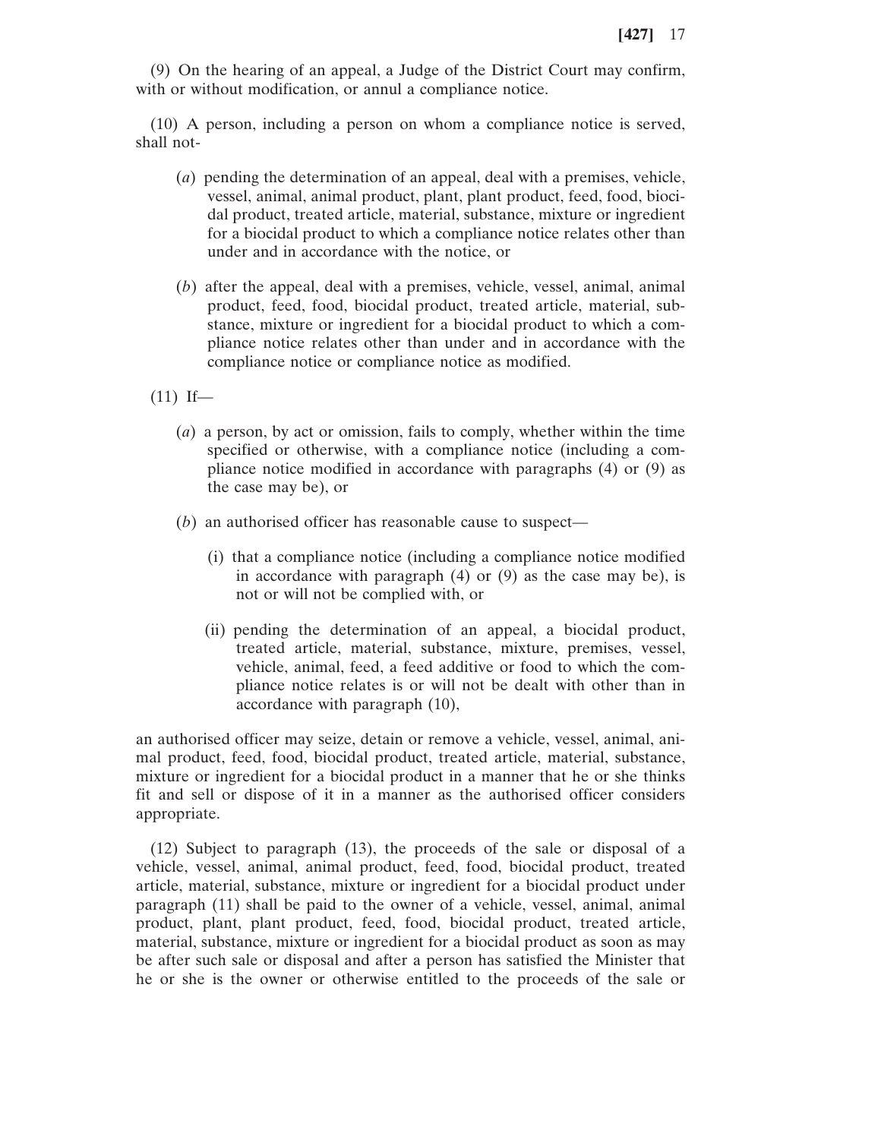(9) On the hearing of an appeal, a Judge of the District Court may confirm, with or without modification, or annul a compliance notice.

(10) A person, including a person on whom a compliance notice is served, shall not-

- (*a*) pending the determination of an appeal, deal with a premises, vehicle, vessel, animal, animal product, plant, plant product, feed, food, biocidal product, treated article, material, substance, mixture or ingredient for a biocidal product to which a compliance notice relates other than under and in accordance with the notice, or
- (*b*) after the appeal, deal with a premises, vehicle, vessel, animal, animal product, feed, food, biocidal product, treated article, material, substance, mixture or ingredient for a biocidal product to which a compliance notice relates other than under and in accordance with the compliance notice or compliance notice as modified.

 $(11)$  If—

- (*a*) a person, by act or omission, fails to comply, whether within the time specified or otherwise, with a compliance notice (including a compliance notice modified in accordance with paragraphs (4) or (9) as the case may be), or
- (*b*) an authorised officer has reasonable cause to suspect—
	- (i) that a compliance notice (including a compliance notice modified in accordance with paragraph (4) or (9) as the case may be), is not or will not be complied with, or
	- (ii) pending the determination of an appeal, a biocidal product, treated article, material, substance, mixture, premises, vessel, vehicle, animal, feed, a feed additive or food to which the compliance notice relates is or will not be dealt with other than in accordance with paragraph (10),

an authorised officer may seize, detain or remove a vehicle, vessel, animal, animal product, feed, food, biocidal product, treated article, material, substance, mixture or ingredient for a biocidal product in a manner that he or she thinks fit and sell or dispose of it in a manner as the authorised officer considers appropriate.

(12) Subject to paragraph (13), the proceeds of the sale or disposal of a vehicle, vessel, animal, animal product, feed, food, biocidal product, treated article, material, substance, mixture or ingredient for a biocidal product under paragraph (11) shall be paid to the owner of a vehicle, vessel, animal, animal product, plant, plant product, feed, food, biocidal product, treated article, material, substance, mixture or ingredient for a biocidal product as soon as may be after such sale or disposal and after a person has satisfied the Minister that he or she is the owner or otherwise entitled to the proceeds of the sale or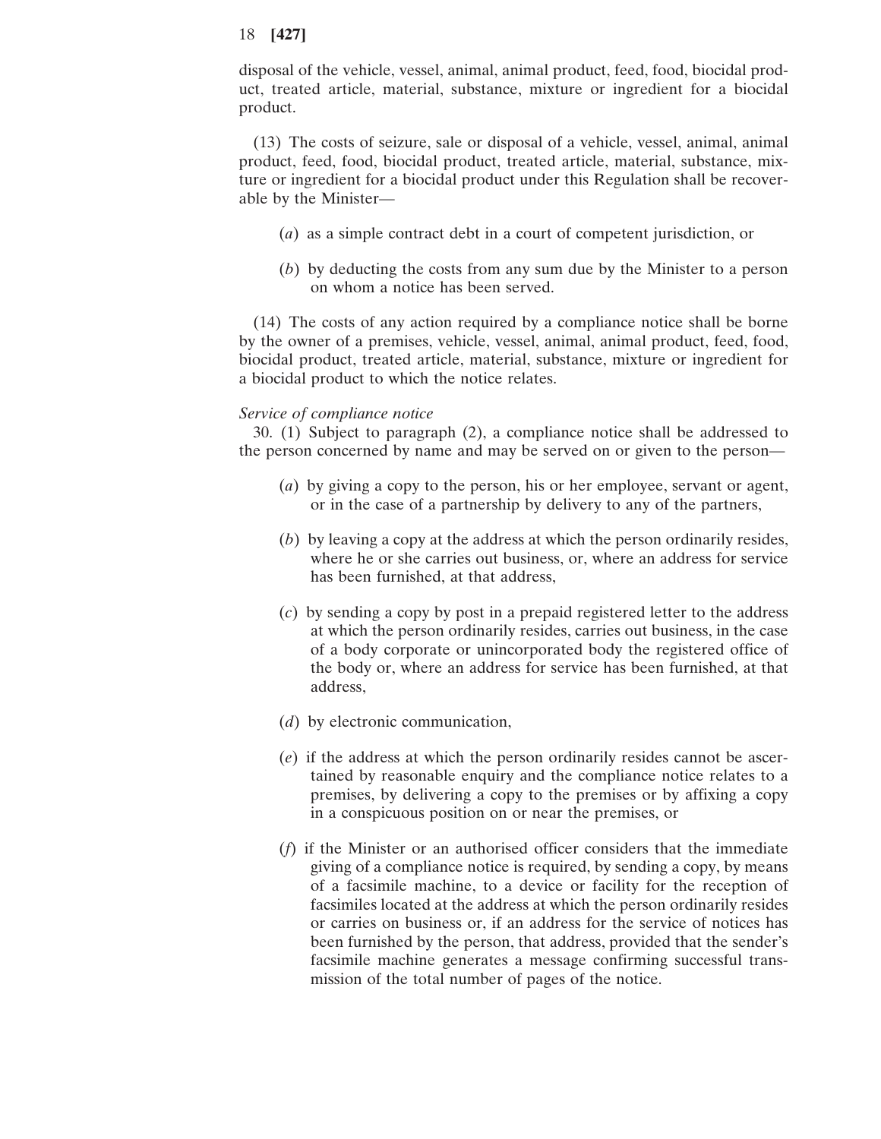disposal of the vehicle, vessel, animal, animal product, feed, food, biocidal product, treated article, material, substance, mixture or ingredient for a biocidal product.

(13) The costs of seizure, sale or disposal of a vehicle, vessel, animal, animal product, feed, food, biocidal product, treated article, material, substance, mixture or ingredient for a biocidal product under this Regulation shall be recoverable by the Minister—

- (*a*) as a simple contract debt in a court of competent jurisdiction, or
- (*b*) by deducting the costs from any sum due by the Minister to a person on whom a notice has been served.

(14) The costs of any action required by a compliance notice shall be borne by the owner of a premises, vehicle, vessel, animal, animal product, feed, food, biocidal product, treated article, material, substance, mixture or ingredient for a biocidal product to which the notice relates.

#### *Service of compliance notice*

30. (1) Subject to paragraph (2), a compliance notice shall be addressed to the person concerned by name and may be served on or given to the person—

- (*a*) by giving a copy to the person, his or her employee, servant or agent, or in the case of a partnership by delivery to any of the partners,
- (*b*) by leaving a copy at the address at which the person ordinarily resides, where he or she carries out business, or, where an address for service has been furnished, at that address,
- (*c*) by sending a copy by post in a prepaid registered letter to the address at which the person ordinarily resides, carries out business, in the case of a body corporate or unincorporated body the registered office of the body or, where an address for service has been furnished, at that address,
- (*d*) by electronic communication,
- (*e*) if the address at which the person ordinarily resides cannot be ascertained by reasonable enquiry and the compliance notice relates to a premises, by delivering a copy to the premises or by affixing a copy in a conspicuous position on or near the premises, or
- (*f*) if the Minister or an authorised officer considers that the immediate giving of a compliance notice is required, by sending a copy, by means of a facsimile machine, to a device or facility for the reception of facsimiles located at the address at which the person ordinarily resides or carries on business or, if an address for the service of notices has been furnished by the person, that address, provided that the sender's facsimile machine generates a message confirming successful transmission of the total number of pages of the notice.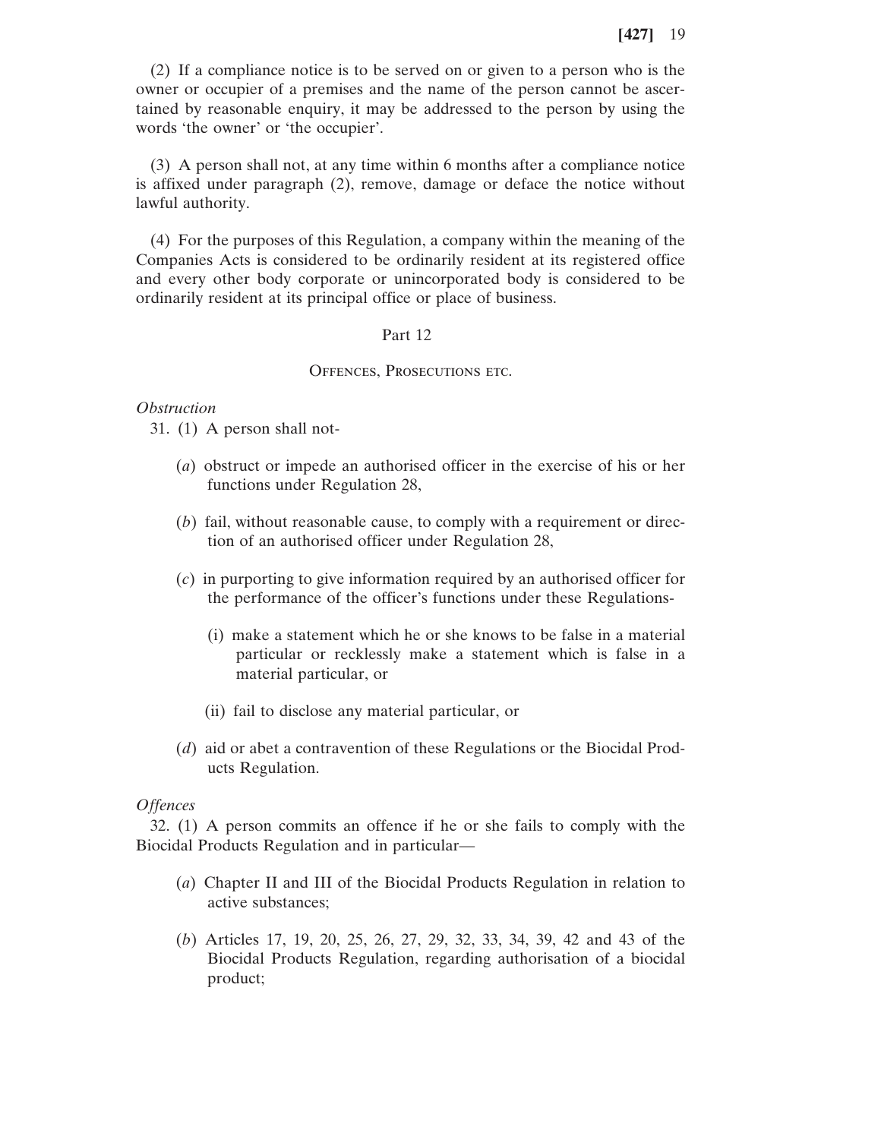(2) If a compliance notice is to be served on or given to a person who is the owner or occupier of a premises and the name of the person cannot be ascertained by reasonable enquiry, it may be addressed to the person by using the words 'the owner' or 'the occupier'.

(3) A person shall not, at any time within 6 months after a compliance notice is affixed under paragraph (2), remove, damage or deface the notice without lawful authority.

(4) For the purposes of this Regulation, a company within the meaning of the Companies Acts is considered to be ordinarily resident at its registered office and every other body corporate or unincorporated body is considered to be ordinarily resident at its principal office or place of business.

### Part 12

### OFFENCES, PROSECUTIONS ETC.

### *Obstruction*

31. (1) A person shall not-

- (*a*) obstruct or impede an authorised officer in the exercise of his or her functions under Regulation 28,
- (*b*) fail, without reasonable cause, to comply with a requirement or direction of an authorised officer under Regulation 28,
- (*c*) in purporting to give information required by an authorised officer for the performance of the officer's functions under these Regulations-
	- (i) make a statement which he or she knows to be false in a material particular or recklessly make a statement which is false in a material particular, or
	- (ii) fail to disclose any material particular, or
- (*d*) aid or abet a contravention of these Regulations or the Biocidal Products Regulation.

### *Offences*

32. (1) A person commits an offence if he or she fails to comply with the Biocidal Products Regulation and in particular—

- (*a*) Chapter II and III of the Biocidal Products Regulation in relation to active substances;
- (*b*) Articles 17, 19, 20, 25, 26, 27, 29, 32, 33, 34, 39, 42 and 43 of the Biocidal Products Regulation, regarding authorisation of a biocidal product;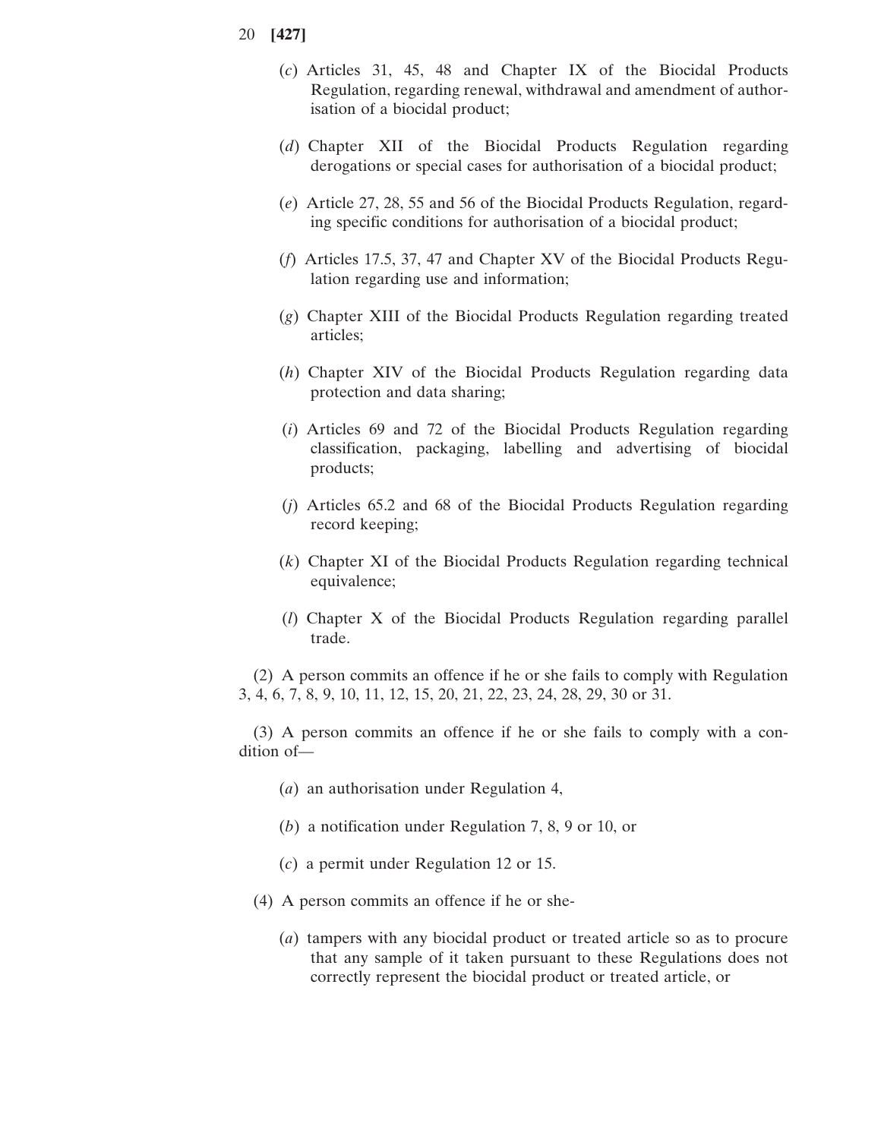- 20 **[427]**
	- (*c*) Articles 31, 45, 48 and Chapter IX of the Biocidal Products Regulation, regarding renewal, withdrawal and amendment of authorisation of a biocidal product;
	- (*d*) Chapter XII of the Biocidal Products Regulation regarding derogations or special cases for authorisation of a biocidal product;
	- (*e*) Article 27, 28, 55 and 56 of the Biocidal Products Regulation, regarding specific conditions for authorisation of a biocidal product;
	- (*f*) Articles 17.5, 37, 47 and Chapter XV of the Biocidal Products Regulation regarding use and information;
	- (*g*) Chapter XIII of the Biocidal Products Regulation regarding treated articles;
	- (*h*) Chapter XIV of the Biocidal Products Regulation regarding data protection and data sharing;
	- (*i*) Articles 69 and 72 of the Biocidal Products Regulation regarding classification, packaging, labelling and advertising of biocidal products;
	- (*j*) Articles 65.2 and 68 of the Biocidal Products Regulation regarding record keeping;
	- (*k*) Chapter XI of the Biocidal Products Regulation regarding technical equivalence;
	- (*l*) Chapter X of the Biocidal Products Regulation regarding parallel trade.

(2) A person commits an offence if he or she fails to comply with Regulation 3, 4, 6, 7, 8, 9, 10, 11, 12, 15, 20, 21, 22, 23, 24, 28, 29, 30 or 31.

(3) A person commits an offence if he or she fails to comply with a condition of—

- (*a*) an authorisation under Regulation 4,
- (*b*) a notification under Regulation 7, 8, 9 or 10, or
- (*c*) a permit under Regulation 12 or 15.
- (4) A person commits an offence if he or she-
	- (*a*) tampers with any biocidal product or treated article so as to procure that any sample of it taken pursuant to these Regulations does not correctly represent the biocidal product or treated article, or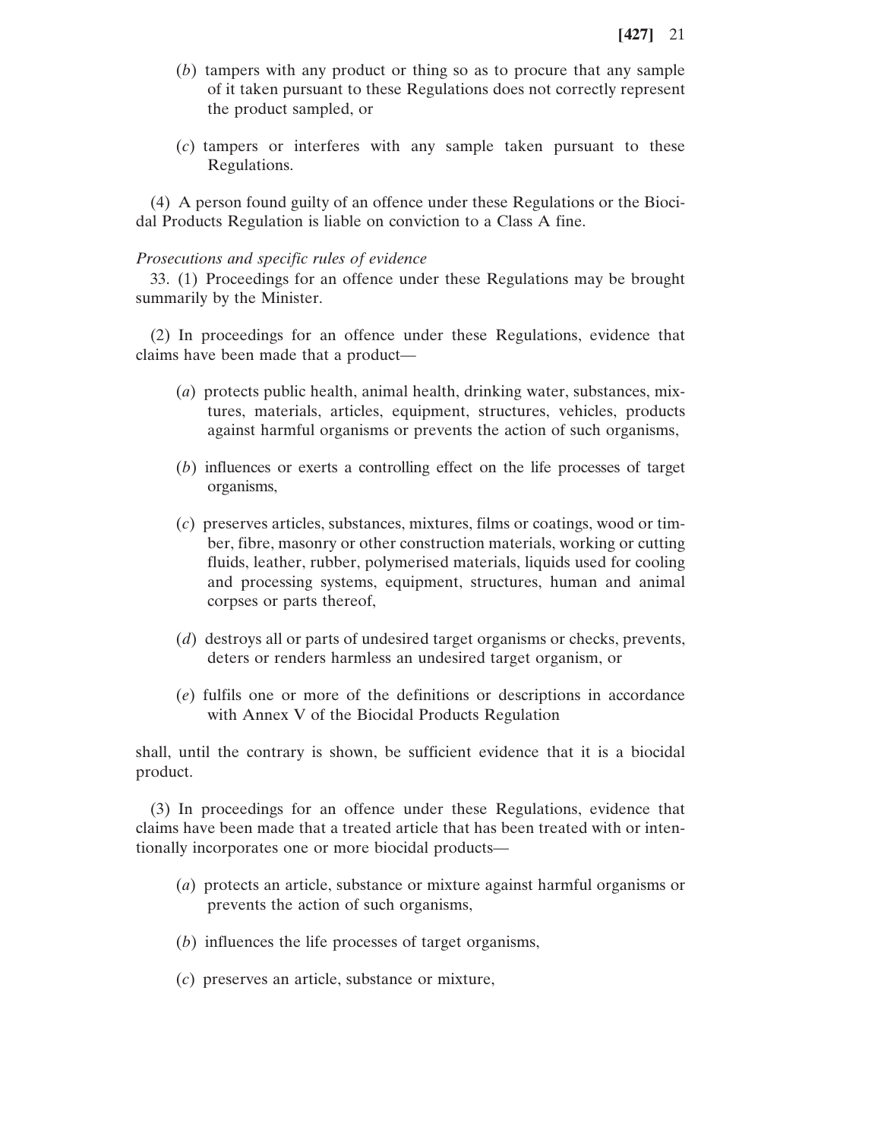- (*b*) tampers with any product or thing so as to procure that any sample of it taken pursuant to these Regulations does not correctly represent the product sampled, or
- (*c*) tampers or interferes with any sample taken pursuant to these Regulations.

(4) A person found guilty of an offence under these Regulations or the Biocidal Products Regulation is liable on conviction to a Class A fine.

### *Prosecutions and specific rules of evidence*

33. (1) Proceedings for an offence under these Regulations may be brought summarily by the Minister.

(2) In proceedings for an offence under these Regulations, evidence that claims have been made that a product—

- (*a*) protects public health, animal health, drinking water, substances, mixtures, materials, articles, equipment, structures, vehicles, products against harmful organisms or prevents the action of such organisms,
- (*b*) influences or exerts a controlling effect on the life processes of target organisms,
- (*c*) preserves articles, substances, mixtures, films or coatings, wood or timber, fibre, masonry or other construction materials, working or cutting fluids, leather, rubber, polymerised materials, liquids used for cooling and processing systems, equipment, structures, human and animal corpses or parts thereof,
- (*d*) destroys all or parts of undesired target organisms or checks, prevents, deters or renders harmless an undesired target organism, or
- (*e*) fulfils one or more of the definitions or descriptions in accordance with Annex V of the Biocidal Products Regulation

shall, until the contrary is shown, be sufficient evidence that it is a biocidal product.

(3) In proceedings for an offence under these Regulations, evidence that claims have been made that a treated article that has been treated with or intentionally incorporates one or more biocidal products—

- (*a*) protects an article, substance or mixture against harmful organisms or prevents the action of such organisms,
- (*b*) influences the life processes of target organisms,
- (*c*) preserves an article, substance or mixture,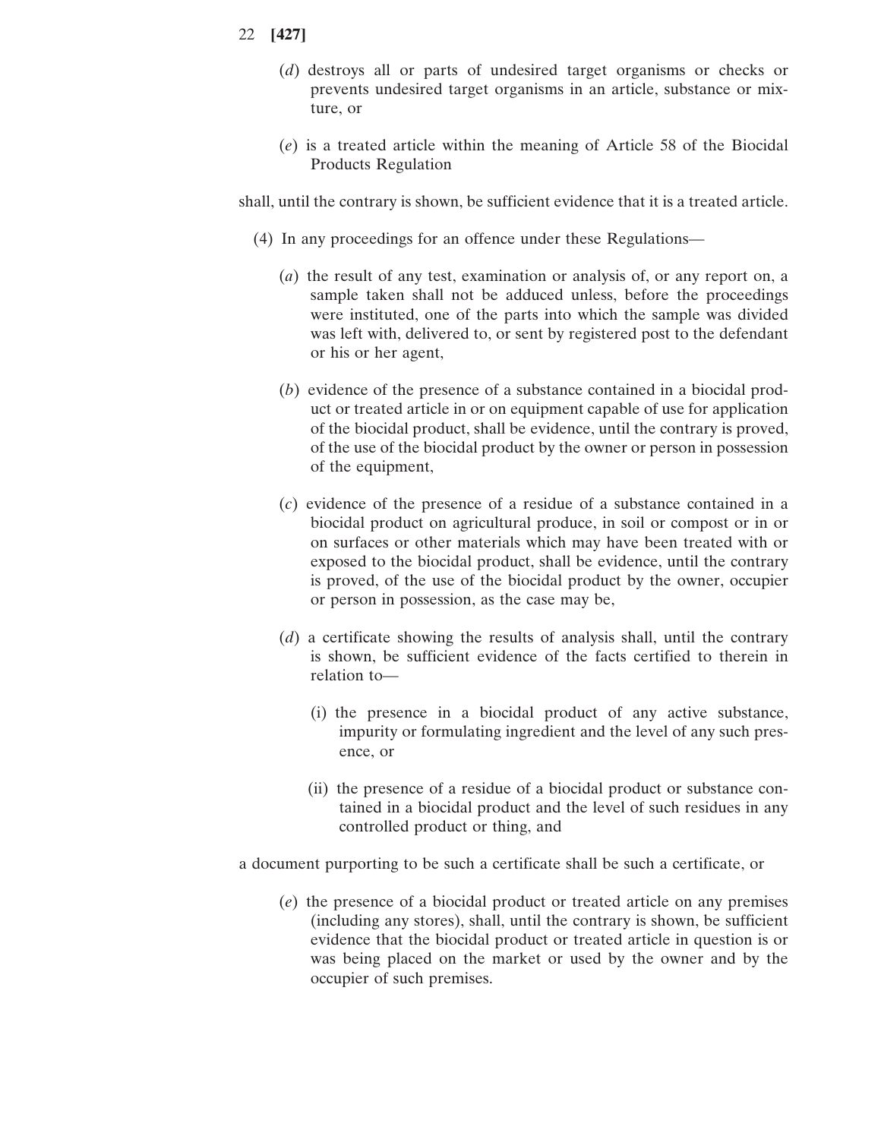- (*d*) destroys all or parts of undesired target organisms or checks or prevents undesired target organisms in an article, substance or mixture, or
- (*e*) is a treated article within the meaning of Article 58 of the Biocidal Products Regulation

shall, until the contrary is shown, be sufficient evidence that it is a treated article.

- (4) In any proceedings for an offence under these Regulations—
	- (*a*) the result of any test, examination or analysis of, or any report on, a sample taken shall not be adduced unless, before the proceedings were instituted, one of the parts into which the sample was divided was left with, delivered to, or sent by registered post to the defendant or his or her agent,
	- (*b*) evidence of the presence of a substance contained in a biocidal product or treated article in or on equipment capable of use for application of the biocidal product, shall be evidence, until the contrary is proved, of the use of the biocidal product by the owner or person in possession of the equipment,
	- (*c*) evidence of the presence of a residue of a substance contained in a biocidal product on agricultural produce, in soil or compost or in or on surfaces or other materials which may have been treated with or exposed to the biocidal product, shall be evidence, until the contrary is proved, of the use of the biocidal product by the owner, occupier or person in possession, as the case may be,
	- (*d*) a certificate showing the results of analysis shall, until the contrary is shown, be sufficient evidence of the facts certified to therein in relation to—
		- (i) the presence in a biocidal product of any active substance, impurity or formulating ingredient and the level of any such presence, or
		- (ii) the presence of a residue of a biocidal product or substance contained in a biocidal product and the level of such residues in any controlled product or thing, and
- a document purporting to be such a certificate shall be such a certificate, or
	- (*e*) the presence of a biocidal product or treated article on any premises (including any stores), shall, until the contrary is shown, be sufficient evidence that the biocidal product or treated article in question is or was being placed on the market or used by the owner and by the occupier of such premises.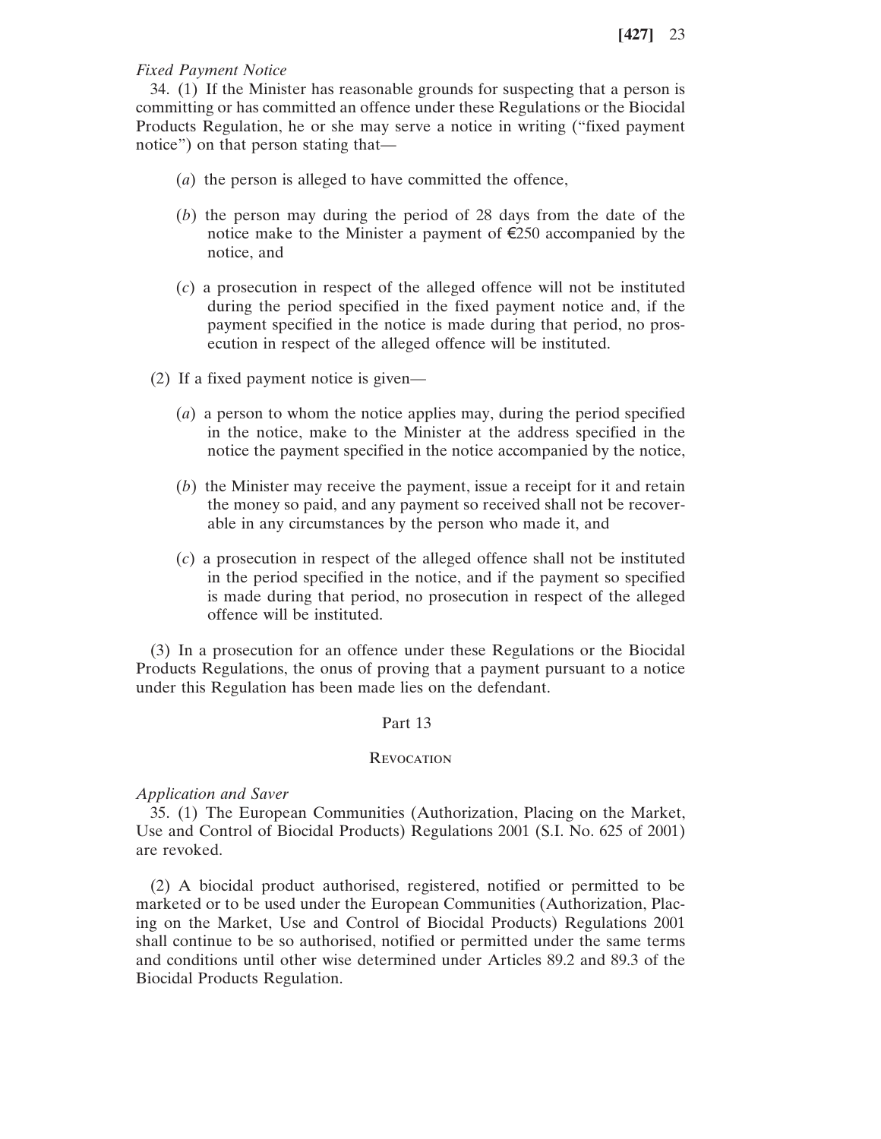# *Fixed Payment Notice*

34. (1) If the Minister has reasonable grounds for suspecting that a person is committing or has committed an offence under these Regulations or the Biocidal Products Regulation, he or she may serve a notice in writing ("fixed payment notice") on that person stating that—

- (*a*) the person is alleged to have committed the offence,
- (*b*) the person may during the period of 28 days from the date of the notice make to the Minister a payment of €250 accompanied by the notice, and
- (*c*) a prosecution in respect of the alleged offence will not be instituted during the period specified in the fixed payment notice and, if the payment specified in the notice is made during that period, no prosecution in respect of the alleged offence will be instituted.
- (2) If a fixed payment notice is given—
	- (*a*) a person to whom the notice applies may, during the period specified in the notice, make to the Minister at the address specified in the notice the payment specified in the notice accompanied by the notice,
	- (*b*) the Minister may receive the payment, issue a receipt for it and retain the money so paid, and any payment so received shall not be recoverable in any circumstances by the person who made it, and
	- (*c*) a prosecution in respect of the alleged offence shall not be instituted in the period specified in the notice, and if the payment so specified is made during that period, no prosecution in respect of the alleged offence will be instituted.

(3) In a prosecution for an offence under these Regulations or the Biocidal Products Regulations, the onus of proving that a payment pursuant to a notice under this Regulation has been made lies on the defendant.

### Part 13

#### **REVOCATION**

# *Application and Saver*

35. (1) The European Communities (Authorization, Placing on the Market, Use and Control of Biocidal Products) Regulations 2001 (S.I. No. 625 of 2001) are revoked.

(2) A biocidal product authorised, registered, notified or permitted to be marketed or to be used under the European Communities (Authorization, Placing on the Market, Use and Control of Biocidal Products) Regulations 2001 shall continue to be so authorised, notified or permitted under the same terms and conditions until other wise determined under Articles 89.2 and 89.3 of the Biocidal Products Regulation.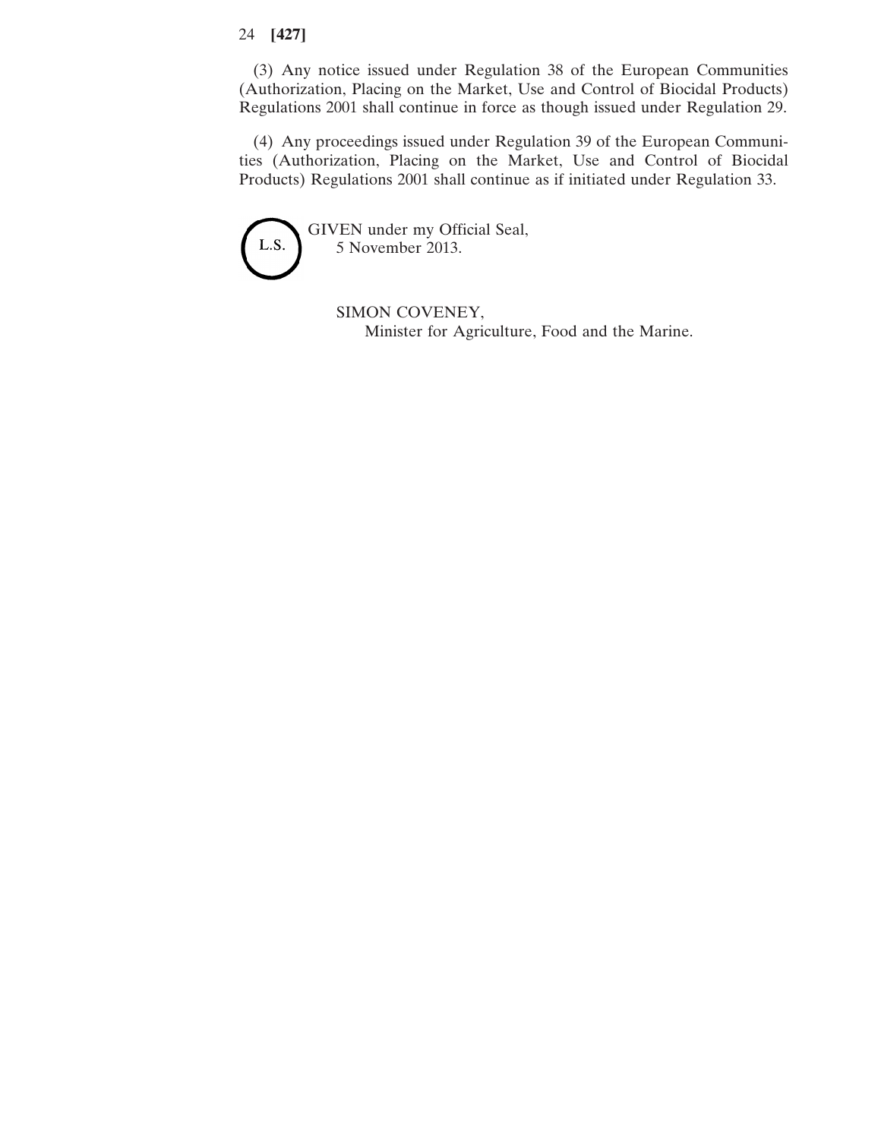(3) Any notice issued under Regulation 38 of the European Communities (Authorization, Placing on the Market, Use and Control of Biocidal Products) Regulations 2001 shall continue in force as though issued under Regulation 29.

(4) Any proceedings issued under Regulation 39 of the European Communities (Authorization, Placing on the Market, Use and Control of Biocidal Products) Regulations 2001 shall continue as if initiated under Regulation 33.

GIVEN under my Official Seal, L.S. 5 November 2013.

> SIMON COVENEY, Minister for Agriculture, Food and the Marine.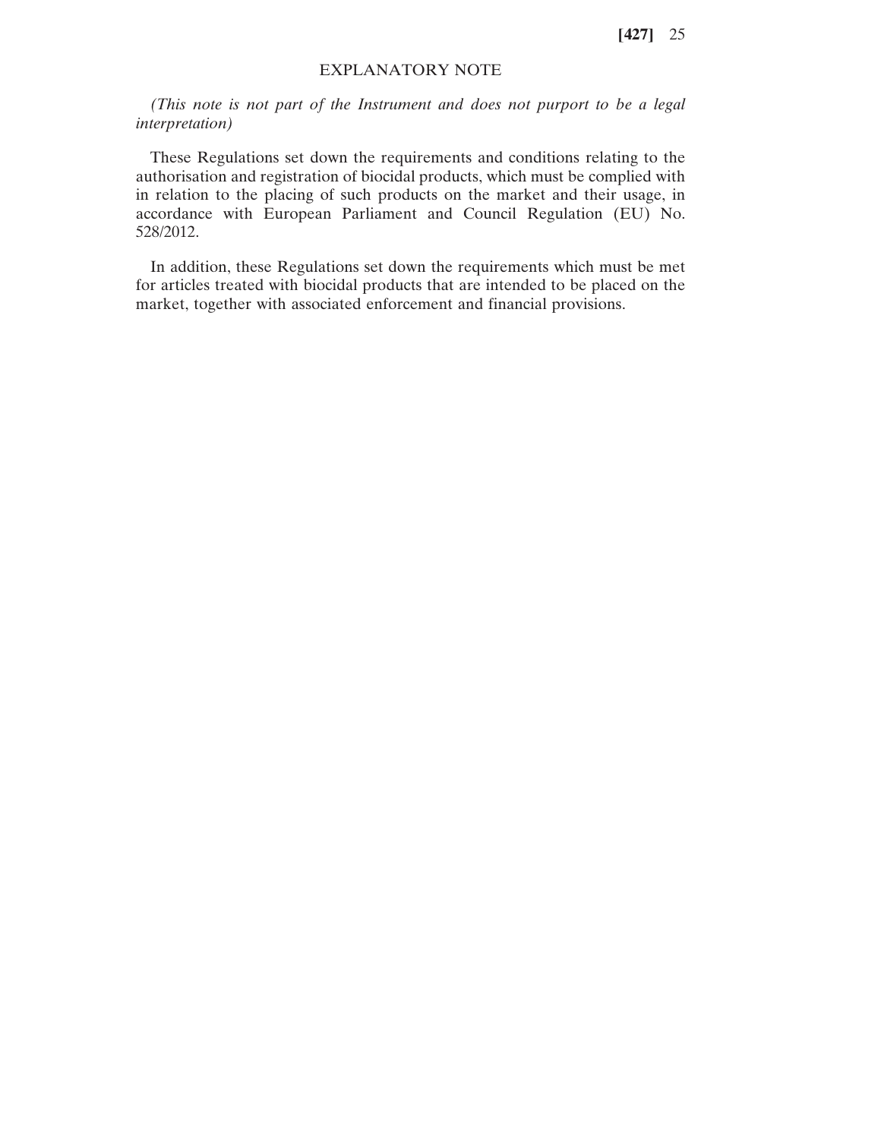# EXPLANATORY NOTE

*(This note is not part of the Instrument and does not purport to be a legal interpretation)*

These Regulations set down the requirements and conditions relating to the authorisation and registration of biocidal products, which must be complied with in relation to the placing of such products on the market and their usage, in accordance with European Parliament and Council Regulation (EU) No. 528/2012.

In addition, these Regulations set down the requirements which must be met for articles treated with biocidal products that are intended to be placed on the market, together with associated enforcement and financial provisions.